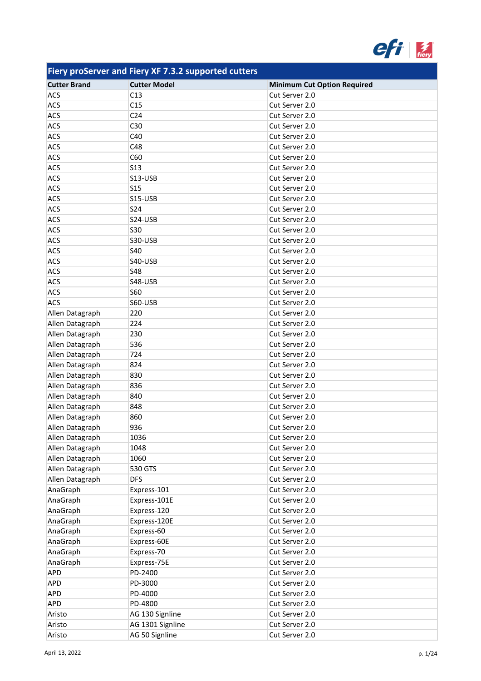

| <b>Cutter Brand</b> | <b>Cutter Model</b> | <b>Minimum Cut Option Required</b> |
|---------------------|---------------------|------------------------------------|
| <b>ACS</b>          | C13                 | Cut Server 2.0                     |
| ACS                 | C15                 | Cut Server 2.0                     |
| ACS                 | C <sub>24</sub>     | Cut Server 2.0                     |
| ACS                 | C30                 | Cut Server 2.0                     |
| <b>ACS</b>          | C40                 | Cut Server 2.0                     |
| ACS                 | C48                 | Cut Server 2.0                     |
| ACS                 | C60                 | Cut Server 2.0                     |
| <b>ACS</b>          | <b>S13</b>          | Cut Server 2.0                     |
| ACS                 | S13-USB             | Cut Server 2.0                     |
| ACS                 | <b>S15</b>          | Cut Server 2.0                     |
| ACS                 | S15-USB             | Cut Server 2.0                     |
| <b>ACS</b>          | <b>S24</b>          | Cut Server 2.0                     |
| ACS                 | S24-USB             | Cut Server 2.0                     |
| ACS                 | <b>S30</b>          | Cut Server 2.0                     |
| <b>ACS</b>          | <b>S30-USB</b>      | Cut Server 2.0                     |
| ACS                 | S40                 | Cut Server 2.0                     |
| ACS                 | S40-USB             | Cut Server 2.0                     |
| ACS                 | <b>S48</b>          | Cut Server 2.0                     |
| ACS                 | S48-USB             | Cut Server 2.0                     |
| ACS                 | <b>S60</b>          | Cut Server 2.0                     |
| <b>ACS</b>          | S60-USB             | Cut Server 2.0                     |
| Allen Datagraph     | 220                 | Cut Server 2.0                     |
| Allen Datagraph     | 224                 | Cut Server 2.0                     |
| Allen Datagraph     | 230                 | Cut Server 2.0                     |
| Allen Datagraph     | 536                 | Cut Server 2.0                     |
| Allen Datagraph     | 724                 | Cut Server 2.0                     |
| Allen Datagraph     | 824                 | Cut Server 2.0                     |
| Allen Datagraph     | 830                 | Cut Server 2.0                     |
| Allen Datagraph     | 836                 | Cut Server 2.0                     |
| Allen Datagraph     | 840                 | Cut Server 2.0                     |
| Allen Datagraph     | 848                 | Cut Server 2.0                     |
| Allen Datagraph     | 860                 | Cut Server 2.0                     |
| Allen Datagraph     | 936                 | Cut Server 2.0                     |
| Allen Datagraph     | 1036                | Cut Server 2.0                     |
| Allen Datagraph     | 1048                | Cut Server 2.0                     |
| Allen Datagraph     | 1060                | Cut Server 2.0                     |
| Allen Datagraph     | 530 GTS             | Cut Server 2.0                     |
| Allen Datagraph     | <b>DFS</b>          | Cut Server 2.0                     |
| AnaGraph            | Express-101         | Cut Server 2.0                     |
| AnaGraph            | Express-101E        | Cut Server 2.0                     |
| AnaGraph            | Express-120         | Cut Server 2.0                     |
| AnaGraph            | Express-120E        | Cut Server 2.0                     |
| AnaGraph            | Express-60          | Cut Server 2.0                     |
| AnaGraph            | Express-60E         | Cut Server 2.0                     |
| AnaGraph            | Express-70          | Cut Server 2.0                     |
| AnaGraph            | Express-75E         | Cut Server 2.0                     |
| APD                 | PD-2400             | Cut Server 2.0                     |
| <b>APD</b>          | PD-3000             | Cut Server 2.0                     |
| APD                 | PD-4000             | Cut Server 2.0                     |
| APD                 | PD-4800             | Cut Server 2.0                     |
| Aristo              | AG 130 Signline     | Cut Server 2.0                     |
| Aristo              | AG 1301 Signline    | Cut Server 2.0                     |
| Aristo              | AG 50 Signline      | Cut Server 2.0                     |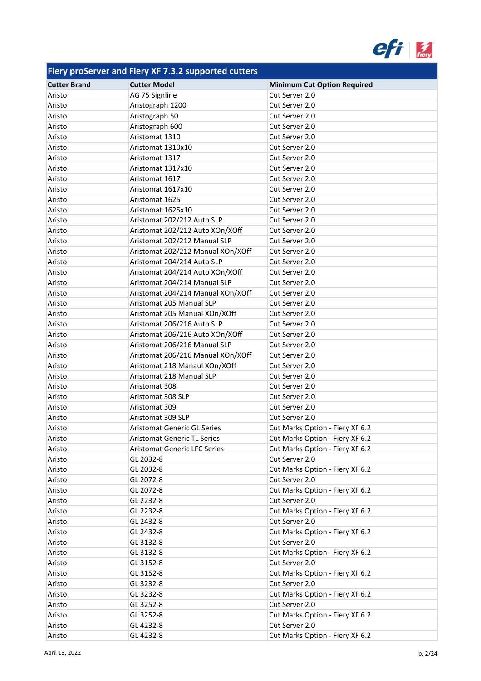

| <b>Cutter Brand</b> | <b>Cutter Model</b>                 | <b>Minimum Cut Option Required</b> |
|---------------------|-------------------------------------|------------------------------------|
| Aristo              | AG 75 Signline                      | Cut Server 2.0                     |
| Aristo              | Aristograph 1200                    | Cut Server 2.0                     |
| Aristo              | Aristograph 50                      | Cut Server 2.0                     |
| Aristo              | Aristograph 600                     | Cut Server 2.0                     |
| Aristo              | Aristomat 1310                      | Cut Server 2.0                     |
| Aristo              | Aristomat 1310x10                   | Cut Server 2.0                     |
| Aristo              | Aristomat 1317                      | Cut Server 2.0                     |
| Aristo              | Aristomat 1317x10                   | Cut Server 2.0                     |
| Aristo              | Aristomat 1617                      | Cut Server 2.0                     |
| Aristo              | Aristomat 1617x10                   | Cut Server 2.0                     |
| Aristo              | Aristomat 1625                      | Cut Server 2.0                     |
| Aristo              | Aristomat 1625x10                   | Cut Server 2.0                     |
| Aristo              | Aristomat 202/212 Auto SLP          | Cut Server 2.0                     |
| Aristo              | Aristomat 202/212 Auto XOn/XOff     | Cut Server 2.0                     |
| Aristo              | Aristomat 202/212 Manual SLP        | Cut Server 2.0                     |
| Aristo              | Aristomat 202/212 Manual XOn/XOff   | Cut Server 2.0                     |
| Aristo              | Aristomat 204/214 Auto SLP          | Cut Server 2.0                     |
| Aristo              | Aristomat 204/214 Auto XOn/XOff     | Cut Server 2.0                     |
| Aristo              | Aristomat 204/214 Manual SLP        | Cut Server 2.0                     |
| Aristo              | Aristomat 204/214 Manual XOn/XOff   | Cut Server 2.0                     |
| Aristo              | Aristomat 205 Manual SLP            | Cut Server 2.0                     |
| Aristo              | Aristomat 205 Manual XOn/XOff       | Cut Server 2.0                     |
| Aristo              | Aristomat 206/216 Auto SLP          | Cut Server 2.0                     |
| Aristo              | Aristomat 206/216 Auto XOn/XOff     | Cut Server 2.0                     |
| Aristo              | Aristomat 206/216 Manual SLP        | Cut Server 2.0                     |
| Aristo              | Aristomat 206/216 Manual XOn/XOff   | Cut Server 2.0                     |
| Aristo              | Aristomat 218 Manaul XOn/XOff       | Cut Server 2.0                     |
| Aristo              | Aristomat 218 Manual SLP            | Cut Server 2.0                     |
| Aristo              | Aristomat 308                       | Cut Server 2.0                     |
| Aristo              | Aristomat 308 SLP                   | Cut Server 2.0                     |
| Aristo              | Aristomat 309                       | Cut Server 2.0                     |
| Aristo              | Aristomat 309 SLP                   | Cut Server 2.0                     |
| Aristo              | <b>Aristomat Generic GL Series</b>  | Cut Marks Option - Fiery XF 6.2    |
| Aristo              | <b>Aristomat Generic TL Series</b>  | Cut Marks Option - Fiery XF 6.2    |
| Aristo              | <b>Aristomat Generic LFC Series</b> | Cut Marks Option - Fiery XF 6.2    |
| Aristo              | GL 2032-8                           | Cut Server 2.0                     |
| Aristo              | GL 2032-8                           | Cut Marks Option - Fiery XF 6.2    |
| Aristo              | GL 2072-8                           | Cut Server 2.0                     |
| Aristo              | GL 2072-8                           | Cut Marks Option - Fiery XF 6.2    |
| Aristo              | GL 2232-8                           | Cut Server 2.0                     |
| Aristo              | GL 2232-8                           | Cut Marks Option - Fiery XF 6.2    |
| Aristo              | GL 2432-8                           | Cut Server 2.0                     |
| Aristo              | GL 2432-8                           | Cut Marks Option - Fiery XF 6.2    |
| Aristo              | GL 3132-8                           | Cut Server 2.0                     |
| Aristo              | GL 3132-8                           | Cut Marks Option - Fiery XF 6.2    |
| Aristo              | GL 3152-8                           | Cut Server 2.0                     |
| Aristo              | GL 3152-8                           | Cut Marks Option - Fiery XF 6.2    |
| Aristo              | GL 3232-8                           | Cut Server 2.0                     |
| Aristo              | GL 3232-8                           | Cut Marks Option - Fiery XF 6.2    |
| Aristo              | GL 3252-8                           | Cut Server 2.0                     |
| Aristo              | GL 3252-8                           | Cut Marks Option - Fiery XF 6.2    |
| Aristo              | GL 4232-8                           | Cut Server 2.0                     |
| Aristo              | GL 4232-8                           | Cut Marks Option - Fiery XF 6.2    |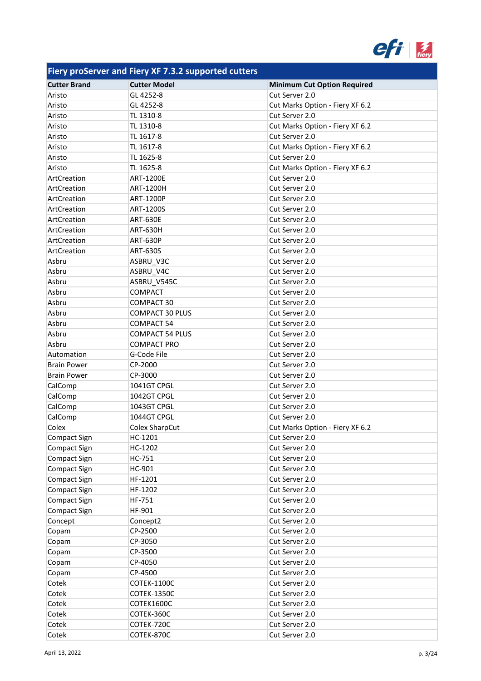

| <b>Cutter Brand</b> | <b>Cutter Model</b>    | <b>Minimum Cut Option Required</b> |
|---------------------|------------------------|------------------------------------|
| Aristo              | GL 4252-8              | Cut Server 2.0                     |
| Aristo              | GL 4252-8              | Cut Marks Option - Fiery XF 6.2    |
| Aristo              | TL 1310-8              | Cut Server 2.0                     |
| Aristo              | TL 1310-8              | Cut Marks Option - Fiery XF 6.2    |
| Aristo              | TL 1617-8              | Cut Server 2.0                     |
| Aristo              | TL 1617-8              | Cut Marks Option - Fiery XF 6.2    |
| Aristo              | TL 1625-8              | Cut Server 2.0                     |
| Aristo              | TL 1625-8              | Cut Marks Option - Fiery XF 6.2    |
| ArtCreation         | ART-1200E              | Cut Server 2.0                     |
| ArtCreation         | <b>ART-1200H</b>       | Cut Server 2.0                     |
| ArtCreation         | ART-1200P              | Cut Server 2.0                     |
| ArtCreation         | ART-1200S              | Cut Server 2.0                     |
| ArtCreation         | <b>ART-630E</b>        | Cut Server 2.0                     |
| ArtCreation         | <b>ART-630H</b>        | Cut Server 2.0                     |
| ArtCreation         | <b>ART-630P</b>        | Cut Server 2.0                     |
| ArtCreation         | <b>ART-630S</b>        | Cut Server 2.0                     |
| Asbru               | ASBRU_V3C              | Cut Server 2.0                     |
| Asbru               | ASBRU_V4C              | Cut Server 2.0                     |
| Asbru               | ASBRU V545C            | Cut Server 2.0                     |
| Asbru               | <b>COMPACT</b>         | Cut Server 2.0                     |
| Asbru               | COMPACT 30             | Cut Server 2.0                     |
| Asbru               | <b>COMPACT 30 PLUS</b> | Cut Server 2.0                     |
| Asbru               | <b>COMPACT 54</b>      | Cut Server 2.0                     |
| Asbru               | <b>COMPACT 54 PLUS</b> | Cut Server 2.0                     |
| Asbru               | <b>COMPACT PRO</b>     | Cut Server 2.0                     |
| Automation          | G-Code File            | Cut Server 2.0                     |
| <b>Brain Power</b>  | CP-2000                | Cut Server 2.0                     |
| <b>Brain Power</b>  | CP-3000                | Cut Server 2.0                     |
| CalComp             | 1041GT CPGL            | Cut Server 2.0                     |
| CalComp             | 1042GT CPGL            | Cut Server 2.0                     |
| CalComp             | 1043GT CPGL            | Cut Server 2.0                     |
| CalComp             | 1044GT CPGL            | Cut Server 2.0                     |
| Colex               | Colex SharpCut         | Cut Marks Option - Fiery XF 6.2    |
| <b>Compact Sign</b> | HC-1201                | Cut Server 2.0                     |
| Compact Sign        | HC-1202                | Cut Server 2.0                     |
| Compact Sign        | HC-751                 | Cut Server 2.0                     |
| Compact Sign        | HC-901                 | Cut Server 2.0                     |
| Compact Sign        | HF-1201                | Cut Server 2.0                     |
| Compact Sign        | HF-1202                | Cut Server 2.0                     |
| Compact Sign        | HF-751                 | Cut Server 2.0                     |
| Compact Sign        | HF-901                 | Cut Server 2.0                     |
| Concept             | Concept2               | Cut Server 2.0                     |
| Copam               | CP-2500                | Cut Server 2.0                     |
| Copam               | CP-3050                | Cut Server 2.0                     |
| Copam               | CP-3500                | Cut Server 2.0                     |
| Copam               | CP-4050                | Cut Server 2.0                     |
| Copam               | CP-4500                | Cut Server 2.0                     |
| Cotek               | <b>COTEK-1100C</b>     | Cut Server 2.0                     |
| Cotek               | <b>COTEK-1350C</b>     | Cut Server 2.0                     |
| Cotek               | COTEK1600C             | Cut Server 2.0                     |
| Cotek               | COTEK-360C             | Cut Server 2.0                     |
| Cotek               | COTEK-720C             | Cut Server 2.0                     |
| Cotek               | COTEK-870C             | Cut Server 2.0                     |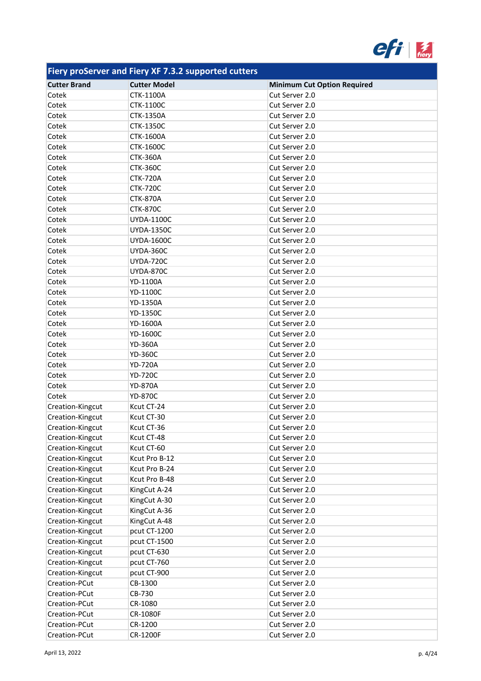

| <b>Cutter Brand</b> | <b>Cutter Model</b> | <b>Minimum Cut Option Required</b> |
|---------------------|---------------------|------------------------------------|
| Cotek               | <b>CTK-1100A</b>    | Cut Server 2.0                     |
| Cotek               | CTK-1100C           | Cut Server 2.0                     |
| Cotek               | CTK-1350A           | Cut Server 2.0                     |
| Cotek               | <b>CTK-1350C</b>    | Cut Server 2.0                     |
| Cotek               | CTK-1600A           | Cut Server 2.0                     |
| Cotek               | <b>CTK-1600C</b>    | Cut Server 2.0                     |
| Cotek               | <b>CTK-360A</b>     | Cut Server 2.0                     |
| Cotek               | <b>CTK-360C</b>     | Cut Server 2.0                     |
| Cotek               | <b>CTK-720A</b>     | Cut Server 2.0                     |
| Cotek               | <b>CTK-720C</b>     | Cut Server 2.0                     |
| Cotek               | <b>CTK-870A</b>     | Cut Server 2.0                     |
| Cotek               | <b>CTK-870C</b>     | Cut Server 2.0                     |
| Cotek               | <b>UYDA-1100C</b>   | Cut Server 2.0                     |
| Cotek               | <b>UYDA-1350C</b>   | Cut Server 2.0                     |
| Cotek               | <b>UYDA-1600C</b>   | Cut Server 2.0                     |
| Cotek               | <b>UYDA-360C</b>    | Cut Server 2.0                     |
| Cotek               | <b>UYDA-720C</b>    | Cut Server 2.0                     |
| Cotek               | <b>UYDA-870C</b>    | Cut Server 2.0                     |
| Cotek               | YD-1100A            | Cut Server 2.0                     |
| Cotek               | YD-1100C            | Cut Server 2.0                     |
| Cotek               | YD-1350A            | Cut Server 2.0                     |
| Cotek               | YD-1350C            | Cut Server 2.0                     |
| Cotek               | YD-1600A            | Cut Server 2.0                     |
| Cotek               | YD-1600C            | Cut Server 2.0                     |
| Cotek               | <b>YD-360A</b>      | Cut Server 2.0                     |
| Cotek               | <b>YD-360C</b>      | Cut Server 2.0                     |
| Cotek               | <b>YD-720A</b>      | Cut Server 2.0                     |
| Cotek               | <b>YD-720C</b>      | Cut Server 2.0                     |
| Cotek               | <b>YD-870A</b>      | Cut Server 2.0                     |
| Cotek               | <b>YD-870C</b>      | Cut Server 2.0                     |
| Creation-Kingcut    | Kcut CT-24          | Cut Server 2.0                     |
| Creation-Kingcut    | Kcut CT-30          | Cut Server 2.0                     |
| Creation-Kingcut    | Kcut CT-36          | Cut Server 2.0                     |
| Creation-Kingcut    | Kcut CT-48          | Cut Server 2.0                     |
| Creation-Kingcut    | Kcut CT-60          | Cut Server 2.0                     |
| Creation-Kingcut    | Kcut Pro B-12       | Cut Server 2.0                     |
| Creation-Kingcut    | Kcut Pro B-24       | Cut Server 2.0                     |
| Creation-Kingcut    | Kcut Pro B-48       | Cut Server 2.0                     |
| Creation-Kingcut    | KingCut A-24        | Cut Server 2.0                     |
| Creation-Kingcut    | KingCut A-30        | Cut Server 2.0                     |
| Creation-Kingcut    | KingCut A-36        | Cut Server 2.0                     |
| Creation-Kingcut    | KingCut A-48        | Cut Server 2.0                     |
| Creation-Kingcut    | pcut CT-1200        | Cut Server 2.0                     |
| Creation-Kingcut    | pcut CT-1500        | Cut Server 2.0                     |
| Creation-Kingcut    | pcut CT-630         | Cut Server 2.0                     |
| Creation-Kingcut    | pcut CT-760         | Cut Server 2.0                     |
| Creation-Kingcut    | pcut CT-900         | Cut Server 2.0                     |
| Creation-PCut       | CB-1300             | Cut Server 2.0                     |
| Creation-PCut       | CB-730              | Cut Server 2.0                     |
| Creation-PCut       | CR-1080             | Cut Server 2.0                     |
| Creation-PCut       | CR-1080F            | Cut Server 2.0                     |
| Creation-PCut       | CR-1200             | Cut Server 2.0                     |
| Creation-PCut       | <b>CR-1200F</b>     | Cut Server 2.0                     |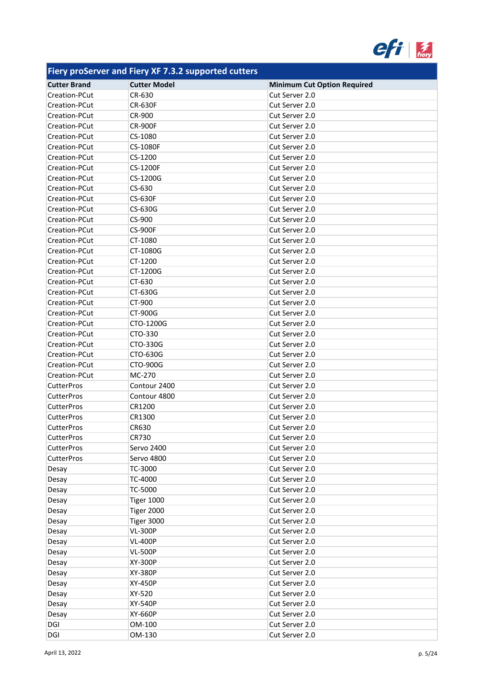

| .                   |                     |                                    |
|---------------------|---------------------|------------------------------------|
| <b>Cutter Brand</b> | <b>Cutter Model</b> | <b>Minimum Cut Option Required</b> |
| Creation-PCut       | CR-630              | Cut Server 2.0                     |
| Creation-PCut       | <b>CR-630F</b>      | Cut Server 2.0                     |
| Creation-PCut       | CR-900              | Cut Server 2.0                     |
| Creation-PCut       | <b>CR-900F</b>      | Cut Server 2.0                     |
| Creation-PCut       | CS-1080             | Cut Server 2.0                     |
| Creation-PCut       | CS-1080F            | Cut Server 2.0                     |
| Creation-PCut       | CS-1200             | Cut Server 2.0                     |
| Creation-PCut       | <b>CS-1200F</b>     | Cut Server 2.0                     |
| Creation-PCut       | CS-1200G            | Cut Server 2.0                     |
| Creation-PCut       | CS-630              | Cut Server 2.0                     |
| Creation-PCut       | <b>CS-630F</b>      | Cut Server 2.0                     |
| Creation-PCut       | CS-630G             | Cut Server 2.0                     |
| Creation-PCut       | CS-900              | Cut Server 2.0                     |
| Creation-PCut       | <b>CS-900F</b>      | Cut Server 2.0                     |
| Creation-PCut       | CT-1080             | Cut Server 2.0                     |
| Creation-PCut       | CT-1080G            | Cut Server 2.0                     |
| Creation-PCut       | CT-1200             | Cut Server 2.0                     |
| Creation-PCut       | CT-1200G            | Cut Server 2.0                     |
| Creation-PCut       | CT-630              | Cut Server 2.0                     |
| Creation-PCut       | CT-630G             | Cut Server 2.0                     |
| Creation-PCut       | CT-900              | Cut Server 2.0                     |
| Creation-PCut       | CT-900G             | Cut Server 2.0                     |
| Creation-PCut       | CTO-1200G           | Cut Server 2.0                     |
| Creation-PCut       | CTO-330             | Cut Server 2.0                     |
| Creation-PCut       | CTO-330G            | Cut Server 2.0                     |
| Creation-PCut       | CTO-630G            | Cut Server 2.0                     |
| Creation-PCut       | CTO-900G            | Cut Server 2.0                     |
| Creation-PCut       | MC-270              | Cut Server 2.0                     |
| <b>CutterPros</b>   | Contour 2400        | Cut Server 2.0                     |
| <b>CutterPros</b>   | Contour 4800        | Cut Server 2.0                     |
| <b>CutterPros</b>   | CR1200              | Cut Server 2.0                     |
| <b>CutterPros</b>   | CR1300              | Cut Server 2.0                     |
| <b>CutterPros</b>   | CR630               | Cut Server 2.0                     |
| <b>CutterPros</b>   | CR730               | Cut Server 2.0                     |
| <b>CutterPros</b>   | Servo 2400          | Cut Server 2.0                     |
| <b>CutterPros</b>   | Servo 4800          | Cut Server 2.0                     |
| Desay               | TC-3000             | Cut Server 2.0                     |
|                     | TC-4000             | Cut Server 2.0                     |
| Desay               | TC-5000             | Cut Server 2.0                     |
| Desay               |                     | Cut Server 2.0                     |
| Desay               | <b>Tiger 1000</b>   |                                    |
| Desay               | <b>Tiger 2000</b>   | Cut Server 2.0                     |
| Desay               | Tiger 3000          | Cut Server 2.0                     |
| Desay               | <b>VL-300P</b>      | Cut Server 2.0                     |
| Desay               | <b>VL-400P</b>      | Cut Server 2.0                     |
| Desay               | <b>VL-500P</b>      | Cut Server 2.0                     |
| Desay               | XY-300P             | Cut Server 2.0                     |
| Desay               | XY-380P             | Cut Server 2.0                     |
| Desay               | XY-450P             | Cut Server 2.0                     |
| Desay               | XY-520              | Cut Server 2.0                     |
| Desay               | XY-540P             | Cut Server 2.0                     |
| Desay               | XY-660P             | Cut Server 2.0                     |
| DGI                 | OM-100              | Cut Server 2.0                     |
| DGI                 | OM-130              | Cut Server 2.0                     |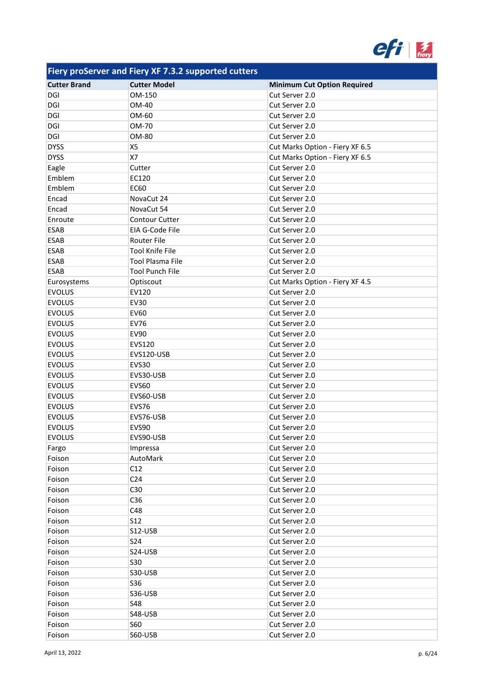

| <b>Cutter Brand</b> | <b>Cutter Model</b>     | <b>Minimum Cut Option Required</b> |
|---------------------|-------------------------|------------------------------------|
| DGI                 | OM-150                  | Cut Server 2.0                     |
| DGI                 | OM-40                   | Cut Server 2.0                     |
| DGI                 | OM-60                   | Cut Server 2.0                     |
| DGI                 | OM-70                   | Cut Server 2.0                     |
| DGI                 | OM-80                   | Cut Server 2.0                     |
| <b>DYSS</b>         | X5                      | Cut Marks Option - Fiery XF 6.5    |
| <b>DYSS</b>         | X7                      | Cut Marks Option - Fiery XF 6.5    |
| Eagle               | Cutter                  | Cut Server 2.0                     |
| Emblem              | EC120                   | Cut Server 2.0                     |
| Emblem              | EC60                    | Cut Server 2.0                     |
| Encad               | NovaCut 24              | Cut Server 2.0                     |
| Encad               | NovaCut 54              | Cut Server 2.0                     |
| Enroute             | <b>Contour Cutter</b>   | Cut Server 2.0                     |
| <b>ESAB</b>         | EIA G-Code File         | Cut Server 2.0                     |
| <b>ESAB</b>         | <b>Router File</b>      | Cut Server 2.0                     |
| <b>ESAB</b>         | <b>Tool Knife File</b>  | Cut Server 2.0                     |
| ESAB                | <b>Tool Plasma File</b> | Cut Server 2.0                     |
| ESAB                | <b>Tool Punch File</b>  | Cut Server 2.0                     |
| Eurosystems         | Optiscout               | Cut Marks Option - Fiery XF 4.5    |
| <b>EVOLUS</b>       | EV120                   | Cut Server 2.0                     |
| <b>EVOLUS</b>       | <b>EV30</b>             | Cut Server 2.0                     |
| <b>EVOLUS</b>       | EV60                    | Cut Server 2.0                     |
| <b>EVOLUS</b>       | <b>EV76</b>             | Cut Server 2.0                     |
| <b>EVOLUS</b>       | <b>EV90</b>             | Cut Server 2.0                     |
| <b>EVOLUS</b>       | EVS120                  | Cut Server 2.0                     |
| <b>EVOLUS</b>       | EVS120-USB              | Cut Server 2.0                     |
| <b>EVOLUS</b>       | EVS30                   | Cut Server 2.0                     |
| <b>EVOLUS</b>       | EVS30-USB               | Cut Server 2.0                     |
| <b>EVOLUS</b>       | EVS60                   | Cut Server 2.0                     |
| <b>EVOLUS</b>       | EVS60-USB               | Cut Server 2.0                     |
| <b>EVOLUS</b>       | EVS76                   | Cut Server 2.0                     |
| <b>EVOLUS</b>       | EVS76-USB               | Cut Server 2.0                     |
| <b>EVOLUS</b>       | EVS90                   | Cut Server 2.0                     |
| <b>EVOLUS</b>       | EVS90-USB               | Cut Server 2.0                     |
| Fargo               | Impressa                | Cut Server 2.0                     |
| Foison              | AutoMark                | Cut Server 2.0                     |
| Foison              | C12                     | Cut Server 2.0                     |
| Foison              | C <sub>24</sub>         | Cut Server 2.0                     |
| Foison              | C30                     | Cut Server 2.0                     |
| Foison              | C36                     | Cut Server 2.0                     |
| Foison              | C48                     | Cut Server 2.0                     |
| Foison              | <b>S12</b>              | Cut Server 2.0                     |
| Foison              | S12-USB                 | Cut Server 2.0                     |
| Foison              | <b>S24</b>              | Cut Server 2.0                     |
| Foison              | S24-USB                 | Cut Server 2.0                     |
| Foison              | <b>S30</b>              | Cut Server 2.0                     |
|                     | S30-USB                 | Cut Server 2.0                     |
| Foison<br>Foison    | S36                     | Cut Server 2.0                     |
|                     | S36-USB                 | Cut Server 2.0                     |
| Foison              | <b>S48</b>              |                                    |
| Foison              |                         | Cut Server 2.0                     |
| Foison              | S48-USB                 | Cut Server 2.0                     |
| Foison              | <b>S60</b>              | Cut Server 2.0                     |
| Foison              | S60-USB                 | Cut Server 2.0                     |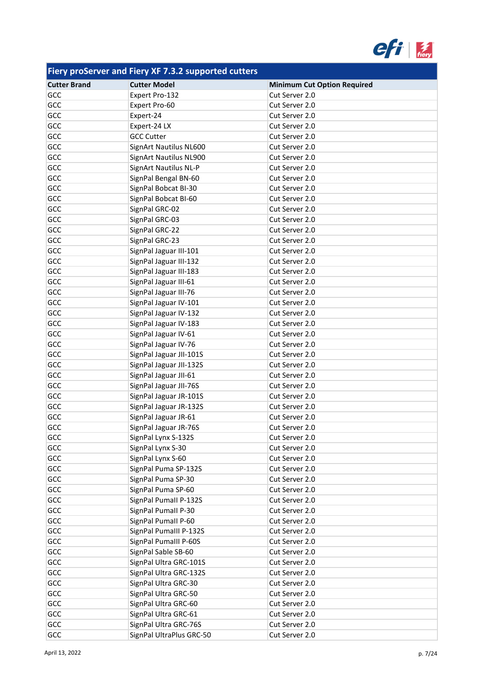

| <b>Cutter Brand</b> | <b>Cutter Model</b>          | <b>Minimum Cut Option Required</b> |
|---------------------|------------------------------|------------------------------------|
| GCC                 | Expert Pro-132               | Cut Server 2.0                     |
| GCC                 | Expert Pro-60                | Cut Server 2.0                     |
| GCC                 | Expert-24                    | Cut Server 2.0                     |
| GCC                 | Expert-24 LX                 | Cut Server 2.0                     |
| GCC                 | <b>GCC Cutter</b>            | Cut Server 2.0                     |
| GCC                 | SignArt Nautilus NL600       | Cut Server 2.0                     |
| GCC                 | SignArt Nautilus NL900       | Cut Server 2.0                     |
| GCC                 | <b>SignArt Nautilus NL-P</b> | Cut Server 2.0                     |
| GCC                 | SignPal Bengal BN-60         | Cut Server 2.0                     |
| GCC                 | SignPal Bobcat BI-30         | Cut Server 2.0                     |
| GCC                 | SignPal Bobcat BI-60         | Cut Server 2.0                     |
| GCC                 | SignPal GRC-02               | Cut Server 2.0                     |
| GCC                 | SignPal GRC-03               | Cut Server 2.0                     |
| GCC                 | SignPal GRC-22               | Cut Server 2.0                     |
| GCC                 | SignPal GRC-23               | Cut Server 2.0                     |
| GCC                 | SignPal Jaguar III-101       | Cut Server 2.0                     |
| GCC                 | SignPal Jaguar III-132       | Cut Server 2.0                     |
| GCC                 | SignPal Jaguar III-183       | Cut Server 2.0                     |
| GCC                 | SignPal Jaguar III-61        | Cut Server 2.0                     |
| GCC                 | SignPal Jaguar III-76        | Cut Server 2.0                     |
| GCC                 | SignPal Jaguar IV-101        | Cut Server 2.0                     |
| GCC                 | SignPal Jaguar IV-132        | Cut Server 2.0                     |
| GCC                 | SignPal Jaguar IV-183        | Cut Server 2.0                     |
| GCC                 | SignPal Jaguar IV-61         | Cut Server 2.0                     |
| GCC                 | SignPal Jaguar IV-76         | Cut Server 2.0                     |
| GCC                 | SignPal Jaguar JII-101S      | Cut Server 2.0                     |
| GCC                 | SignPal Jaguar JII-132S      | Cut Server 2.0                     |
| GCC                 | SignPal Jaguar JII-61        | Cut Server 2.0                     |
| GCC                 | SignPal Jaguar JII-76S       | Cut Server 2.0                     |
| GCC                 | SignPal Jaguar JR-101S       | Cut Server 2.0                     |
| GCC                 | SignPal Jaguar JR-132S       | Cut Server 2.0                     |
| GCC                 | SignPal Jaguar JR-61         | Cut Server 2.0                     |
| GCC                 | SignPal Jaguar JR-76S        | Cut Server 2.0                     |
| GCC                 | SignPal Lynx S-132S          | Cut Server 2.0                     |
| GCC                 | SignPal Lynx S-30            | Cut Server 2.0                     |
| GCC                 | SignPal Lynx S-60            | Cut Server 2.0                     |
| GCC                 | SignPal Puma SP-132S         | Cut Server 2.0                     |
| GCC                 | SignPal Puma SP-30           | Cut Server 2.0                     |
| GCC                 | SignPal Puma SP-60           | Cut Server 2.0                     |
| GCC                 | SignPal Pumall P-132S        | Cut Server 2.0                     |
| GCC                 | SignPal Pumall P-30          | Cut Server 2.0                     |
| GCC                 | SignPal Pumall P-60          | Cut Server 2.0                     |
| GCC                 | SignPal Pumalll P-132S       | Cut Server 2.0                     |
| GCC                 | SignPal Pumalll P-60S        | Cut Server 2.0                     |
| GCC                 | SignPal Sable SB-60          | Cut Server 2.0                     |
| GCC                 | SignPal Ultra GRC-101S       | Cut Server 2.0                     |
| GCC                 | SignPal Ultra GRC-132S       | Cut Server 2.0                     |
| GCC                 | SignPal Ultra GRC-30         | Cut Server 2.0                     |
| GCC                 | SignPal Ultra GRC-50         | Cut Server 2.0                     |
| GCC                 | SignPal Ultra GRC-60         | Cut Server 2.0                     |
| GCC                 | SignPal Ultra GRC-61         | Cut Server 2.0                     |
| GCC                 | SignPal Ultra GRC-76S        | Cut Server 2.0                     |
| GCC                 | SignPal UltraPlus GRC-50     | Cut Server 2.0                     |
|                     |                              |                                    |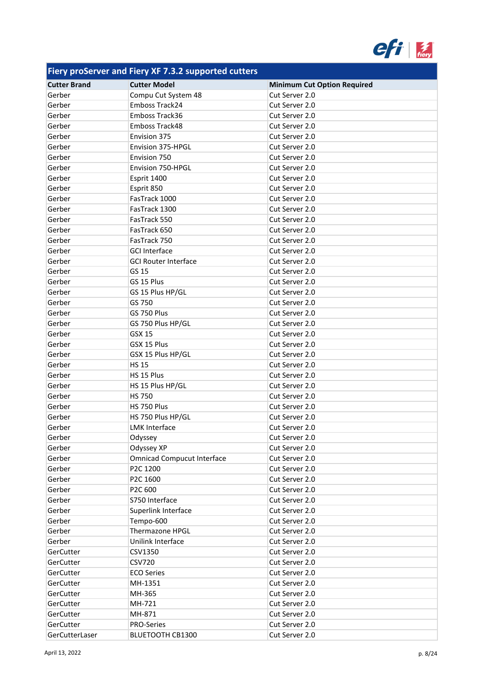

| <b>Cutter Brand</b> | <b>Cutter Model</b>               | <b>Minimum Cut Option Required</b> |
|---------------------|-----------------------------------|------------------------------------|
| Gerber              | Compu Cut System 48               | Cut Server 2.0                     |
| Gerber              | Emboss Track24                    | Cut Server 2.0                     |
| Gerber              | Emboss Track36                    | Cut Server 2.0                     |
| Gerber              | Emboss Track48                    | Cut Server 2.0                     |
| Gerber              | Envision 375                      | Cut Server 2.0                     |
| Gerber              | Envision 375-HPGL                 | Cut Server 2.0                     |
| Gerber              | Envision 750                      | Cut Server 2.0                     |
| Gerber              | Envision 750-HPGL                 | Cut Server 2.0                     |
| Gerber              | Esprit 1400                       | Cut Server 2.0                     |
| Gerber              | Esprit 850                        | Cut Server 2.0                     |
| Gerber              | FasTrack 1000                     | Cut Server 2.0                     |
| Gerber              | FasTrack 1300                     | Cut Server 2.0                     |
| Gerber              | FasTrack 550                      | Cut Server 2.0                     |
| Gerber              | FasTrack 650                      | Cut Server 2.0                     |
| Gerber              | FasTrack 750                      | Cut Server 2.0                     |
| Gerber              | <b>GCI Interface</b>              | Cut Server 2.0                     |
| Gerber              | <b>GCI Router Interface</b>       | Cut Server 2.0                     |
| Gerber              | GS 15                             | Cut Server 2.0                     |
|                     |                                   |                                    |
| Gerber              | GS 15 Plus                        | Cut Server 2.0                     |
| Gerber              | GS 15 Plus HP/GL                  | Cut Server 2.0                     |
| Gerber              | GS 750                            | Cut Server 2.0                     |
| Gerber              | GS 750 Plus                       | Cut Server 2.0                     |
| Gerber              | GS 750 Plus HP/GL                 | Cut Server 2.0                     |
| Gerber              | <b>GSX 15</b>                     | Cut Server 2.0                     |
| Gerber              | GSX 15 Plus                       | Cut Server 2.0                     |
| Gerber              | GSX 15 Plus HP/GL                 | Cut Server 2.0                     |
| Gerber              | <b>HS 15</b>                      | Cut Server 2.0                     |
| Gerber              | HS 15 Plus                        | Cut Server 2.0                     |
| Gerber              | HS 15 Plus HP/GL                  | Cut Server 2.0                     |
| Gerber              | <b>HS 750</b>                     | Cut Server 2.0                     |
| Gerber              | HS 750 Plus                       | Cut Server 2.0                     |
| Gerber              | HS 750 Plus HP/GL                 | Cut Server 2.0                     |
| Gerber              | <b>LMK Interface</b>              | Cut Server 2.0                     |
| Gerber              | Odyssey                           | Cut Server 2.0                     |
| Gerber              | Odyssey XP                        | Cut Server 2.0                     |
| Gerber              | <b>Omnicad Compucut Interface</b> | Cut Server 2.0                     |
| Gerber              | P2C 1200                          | Cut Server 2.0                     |
| Gerber              | P2C 1600                          | Cut Server 2.0                     |
| Gerber              | P2C 600                           | Cut Server 2.0                     |
| Gerber              | S750 Interface                    | Cut Server 2.0                     |
| Gerber              | Superlink Interface               | Cut Server 2.0                     |
| Gerber              | Tempo-600                         | Cut Server 2.0                     |
| Gerber              | Thermazone HPGL                   | Cut Server 2.0                     |
| Gerber              | Unilink Interface                 | Cut Server 2.0                     |
| GerCutter           | CSV1350                           | Cut Server 2.0                     |
| GerCutter           | <b>CSV720</b>                     | Cut Server 2.0                     |
| GerCutter           | <b>ECO Series</b>                 | Cut Server 2.0                     |
| GerCutter           | MH-1351                           | Cut Server 2.0                     |
| GerCutter           | MH-365                            | Cut Server 2.0                     |
| GerCutter           | MH-721                            | Cut Server 2.0                     |
| GerCutter           | MH-871                            | Cut Server 2.0                     |
| GerCutter           | PRO-Series                        | Cut Server 2.0                     |
| GerCutterLaser      | <b>BLUETOOTH CB1300</b>           | Cut Server 2.0                     |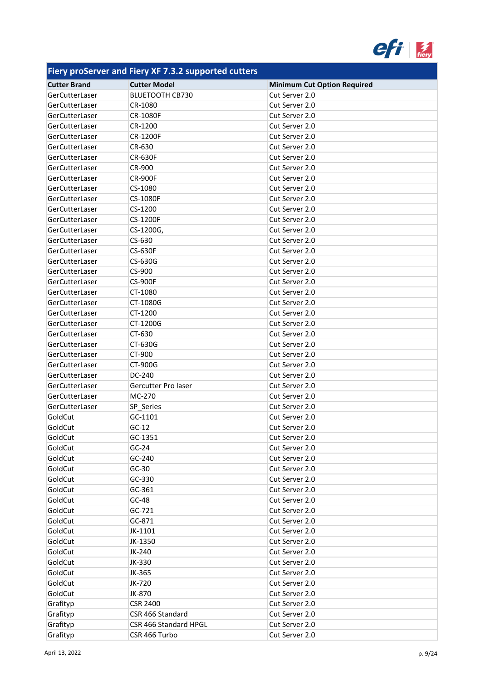

| . .                                   |                                               |                                                      |
|---------------------------------------|-----------------------------------------------|------------------------------------------------------|
| <b>Cutter Brand</b><br>GerCutterLaser | <b>Cutter Model</b><br><b>BLUETOOTH CB730</b> | <b>Minimum Cut Option Required</b><br>Cut Server 2.0 |
| GerCutterLaser                        | CR-1080                                       | Cut Server 2.0                                       |
|                                       |                                               |                                                      |
| GerCutterLaser                        | <b>CR-1080F</b>                               | Cut Server 2.0<br>Cut Server 2.0                     |
| GerCutterLaser                        | CR-1200                                       |                                                      |
| GerCutterLaser                        | <b>CR-1200F</b>                               | Cut Server 2.0                                       |
| GerCutterLaser                        | CR-630                                        | Cut Server 2.0                                       |
| GerCutterLaser                        | <b>CR-630F</b>                                | Cut Server 2.0                                       |
| GerCutterLaser                        | CR-900                                        | Cut Server 2.0                                       |
| GerCutterLaser                        | <b>CR-900F</b>                                | Cut Server 2.0                                       |
| GerCutterLaser                        | CS-1080                                       | Cut Server 2.0                                       |
| GerCutterLaser                        | <b>CS-1080F</b>                               | Cut Server 2.0                                       |
| GerCutterLaser                        | CS-1200                                       | Cut Server 2.0                                       |
| GerCutterLaser                        | <b>CS-1200F</b>                               | Cut Server 2.0                                       |
| GerCutterLaser                        | CS-1200G,                                     | Cut Server 2.0                                       |
| GerCutterLaser                        | CS-630                                        | Cut Server 2.0                                       |
| GerCutterLaser                        | <b>CS-630F</b>                                | Cut Server 2.0                                       |
| GerCutterLaser                        | CS-630G                                       | Cut Server 2.0                                       |
| GerCutterLaser                        | CS-900                                        | Cut Server 2.0                                       |
| GerCutterLaser                        | <b>CS-900F</b>                                | Cut Server 2.0                                       |
| GerCutterLaser                        | CT-1080                                       | Cut Server 2.0                                       |
| GerCutterLaser                        | CT-1080G                                      | Cut Server 2.0                                       |
| GerCutterLaser                        | CT-1200                                       | Cut Server 2.0                                       |
| GerCutterLaser                        | CT-1200G                                      | Cut Server 2.0                                       |
| GerCutterLaser                        | CT-630                                        | Cut Server 2.0                                       |
| GerCutterLaser                        | CT-630G                                       | Cut Server 2.0                                       |
| GerCutterLaser                        | CT-900                                        | Cut Server 2.0                                       |
| GerCutterLaser                        | CT-900G                                       | Cut Server 2.0                                       |
| GerCutterLaser                        | DC-240                                        | Cut Server 2.0                                       |
| GerCutterLaser                        | Gercutter Pro laser                           | Cut Server 2.0                                       |
| GerCutterLaser                        | MC-270                                        | Cut Server 2.0                                       |
| GerCutterLaser                        | SP_Series                                     | Cut Server 2.0                                       |
| GoldCut                               | GC-1101                                       | Cut Server 2.0                                       |
| GoldCut                               | $GC-12$                                       | Cut Server 2.0                                       |
| GoldCut                               | GC-1351                                       | Cut Server 2.0                                       |
| GoldCut                               | $GC-24$                                       | Cut Server 2.0                                       |
| GoldCut                               | GC-240                                        | Cut Server 2.0                                       |
| GoldCut                               | $GC-30$                                       | Cut Server 2.0                                       |
| GoldCut                               | GC-330                                        | Cut Server 2.0                                       |
| GoldCut                               | GC-361                                        | Cut Server 2.0                                       |
| GoldCut                               | GC-48                                         | Cut Server 2.0                                       |
| GoldCut                               | GC-721                                        | Cut Server 2.0                                       |
| GoldCut                               | GC-871                                        | Cut Server 2.0                                       |
| GoldCut                               | JK-1101                                       | Cut Server 2.0                                       |
| GoldCut                               | JK-1350                                       | Cut Server 2.0                                       |
| GoldCut                               |                                               | Cut Server 2.0                                       |
| GoldCut                               | JK-240<br>JK-330                              | Cut Server 2.0                                       |
|                                       |                                               |                                                      |
| GoldCut                               | JK-365                                        | Cut Server 2.0                                       |
| GoldCut                               | JK-720                                        | Cut Server 2.0                                       |
| GoldCut                               | JK-870                                        | Cut Server 2.0                                       |
| Grafityp                              | <b>CSR 2400</b>                               | Cut Server 2.0                                       |
| Grafityp                              | CSR 466 Standard                              | Cut Server 2.0                                       |
| Grafityp                              | CSR 466 Standard HPGL                         | Cut Server 2.0                                       |
| Grafityp                              | CSR 466 Turbo                                 | Cut Server 2.0                                       |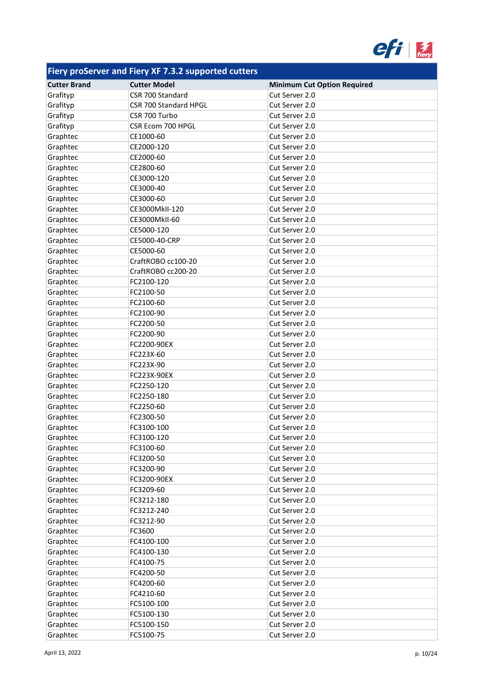

| <b>Cutter Brand</b> | <b>Cutter Model</b>   | <b>Minimum Cut Option Required</b> |
|---------------------|-----------------------|------------------------------------|
| Grafityp            | CSR 700 Standard      | Cut Server 2.0                     |
| Grafityp            | CSR 700 Standard HPGL | Cut Server 2.0                     |
| Grafityp            | CSR 700 Turbo         | Cut Server 2.0                     |
| Grafityp            | CSR Ecom 700 HPGL     | Cut Server 2.0                     |
| Graphtec            | CE1000-60             | Cut Server 2.0                     |
| Graphtec            | CE2000-120            | Cut Server 2.0                     |
| Graphtec            | CE2000-60             | Cut Server 2.0                     |
| Graphtec            | CE2800-60             | Cut Server 2.0                     |
| Graphtec            | CE3000-120            | Cut Server 2.0                     |
| Graphtec            | CE3000-40             | Cut Server 2.0                     |
| Graphtec            | CE3000-60             | Cut Server 2.0                     |
| Graphtec            | CE3000MkII-120        | Cut Server 2.0                     |
| Graphtec            | CE3000MkII-60         | Cut Server 2.0                     |
| Graphtec            | CE5000-120            | Cut Server 2.0                     |
| Graphtec            | CE5000-40-CRP         | Cut Server 2.0                     |
| Graphtec            | CE5000-60             | Cut Server 2.0                     |
| Graphtec            | CraftROBO cc100-20    | Cut Server 2.0                     |
| Graphtec            | CraftROBO cc200-20    | Cut Server 2.0                     |
| Graphtec            | FC2100-120            | Cut Server 2.0                     |
| Graphtec            | FC2100-50             | Cut Server 2.0                     |
| Graphtec            | FC2100-60             | Cut Server 2.0                     |
| Graphtec            | FC2100-90             | Cut Server 2.0                     |
| Graphtec            | FC2200-50             | Cut Server 2.0                     |
| Graphtec            | FC2200-90             | Cut Server 2.0                     |
| Graphtec            | FC2200-90EX           | Cut Server 2.0                     |
| Graphtec            | FC223X-60             | Cut Server 2.0                     |
| Graphtec            | FC223X-90             | Cut Server 2.0                     |
| Graphtec            | FC223X-90EX           | Cut Server 2.0                     |
| Graphtec            | FC2250-120            | Cut Server 2.0                     |
| Graphtec            | FC2250-180            | Cut Server 2.0                     |
| Graphtec            | FC2250-60             | Cut Server 2.0                     |
| Graphtec            | FC2300-50             | Cut Server 2.0                     |
| Graphtec            | FC3100-100            | Cut Server 2.0                     |
| Graphtec            | FC3100-120            | Cut Server 2.0                     |
| Graphtec            | FC3100-60             | Cut Server 2.0                     |
| Graphtec            | FC3200-50             | Cut Server 2.0                     |
| Graphtec            | FC3200-90             | Cut Server 2.0                     |
| Graphtec            | FC3200-90EX           | Cut Server 2.0                     |
| Graphtec            | FC3209-60             | Cut Server 2.0                     |
| Graphtec            | FC3212-180            | Cut Server 2.0                     |
| Graphtec            | FC3212-240            | Cut Server 2.0                     |
| Graphtec            | FC3212-90             | Cut Server 2.0                     |
| Graphtec            | FC3600                | Cut Server 2.0                     |
| Graphtec            | FC4100-100            | Cut Server 2.0                     |
| Graphtec            | FC4100-130            | Cut Server 2.0                     |
| Graphtec            | FC4100-75             | Cut Server 2.0                     |
| Graphtec            | FC4200-50             | Cut Server 2.0                     |
| Graphtec            | FC4200-60             | Cut Server 2.0                     |
| Graphtec            | FC4210-60             | Cut Server 2.0                     |
| Graphtec            | FC5100-100            | Cut Server 2.0                     |
| Graphtec            | FC5100-130            | Cut Server 2.0                     |
| Graphtec            | FC5100-150            | Cut Server 2.0                     |
| Graphtec            | FC5100-75             | Cut Server 2.0                     |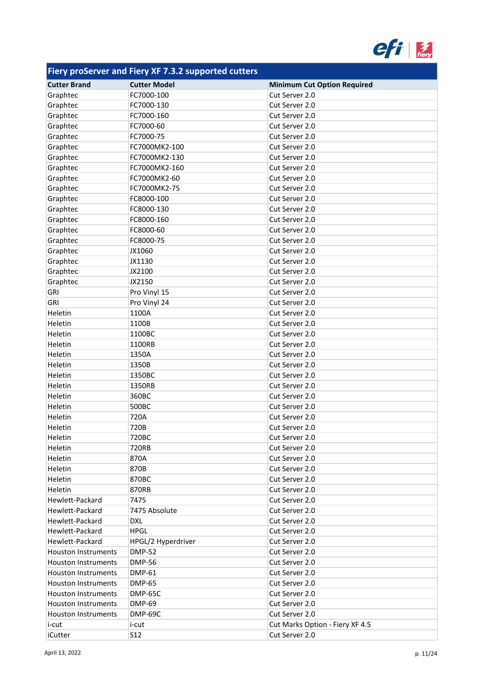

| <b>Cutter Brand</b>        | <b>Cutter Model</b> | <b>Minimum Cut Option Required</b> |
|----------------------------|---------------------|------------------------------------|
| Graphtec                   | FC7000-100          | Cut Server 2.0                     |
| Graphtec                   | FC7000-130          | Cut Server 2.0                     |
| Graphtec                   | FC7000-160          | Cut Server 2.0                     |
| Graphtec                   | FC7000-60           | Cut Server 2.0                     |
| Graphtec                   | FC7000-75           | Cut Server 2.0                     |
| Graphtec                   | FC7000MK2-100       | Cut Server 2.0                     |
| Graphtec                   | FC7000MK2-130       | Cut Server 2.0                     |
| Graphtec                   | FC7000MK2-160       | Cut Server 2.0                     |
| Graphtec                   | FC7000MK2-60        | Cut Server 2.0                     |
| Graphtec                   | FC7000MK2-75        | Cut Server 2.0                     |
| Graphtec                   | FC8000-100          | Cut Server 2.0                     |
| Graphtec                   | FC8000-130          | Cut Server 2.0                     |
| Graphtec                   | FC8000-160          | Cut Server 2.0                     |
| Graphtec                   | FC8000-60           | Cut Server 2.0                     |
| Graphtec                   | FC8000-75           | Cut Server 2.0                     |
| Graphtec                   | JX1060              | Cut Server 2.0                     |
| Graphtec                   | JX1130              | Cut Server 2.0                     |
| Graphtec                   | JX2100              | Cut Server 2.0                     |
| Graphtec                   | JX2150              | Cut Server 2.0                     |
| GRI                        | Pro Vinyl 15        | Cut Server 2.0                     |
| <b>GRI</b>                 | Pro Vinyl 24        | Cut Server 2.0                     |
| Heletin                    | 1100A               | Cut Server 2.0                     |
| Heletin                    | 1100B               | Cut Server 2.0                     |
| Heletin                    | 1100BC              | Cut Server 2.0                     |
| Heletin                    | 1100RB              | Cut Server 2.0                     |
| Heletin                    | 1350A               | Cut Server 2.0                     |
| Heletin                    | 1350B               | Cut Server 2.0                     |
| Heletin                    | 1350BC              | Cut Server 2.0                     |
| Heletin                    | 1350RB              | Cut Server 2.0                     |
| Heletin                    | 360BC               | Cut Server 2.0                     |
| Heletin                    | 500BC               | Cut Server 2.0                     |
| Heletin                    | 720A                | Cut Server 2.0                     |
| Heletin                    | 720B                | Cut Server 2.0                     |
| Heletin                    | 720BC               | Cut Server 2.0                     |
| Heletin                    | 720RB               | Cut Server 2.0                     |
| Heletin                    | 870A                | Cut Server 2.0                     |
| Heletin                    | 870B                | Cut Server 2.0                     |
| Heletin                    | 870BC               | Cut Server 2.0                     |
| Heletin                    | 870RB               | Cut Server 2.0                     |
| Hewlett-Packard            | 7475                | Cut Server 2.0                     |
| Hewlett-Packard            | 7475 Absolute       | Cut Server 2.0                     |
| Hewlett-Packard            | <b>DXL</b>          | Cut Server 2.0                     |
| Hewlett-Packard            | <b>HPGL</b>         | Cut Server 2.0                     |
| Hewlett-Packard            | HPGL/2 Hyperdriver  | Cut Server 2.0                     |
| <b>Houston Instruments</b> | <b>DMP-52</b>       | Cut Server 2.0                     |
| Houston Instruments        | <b>DMP-56</b>       | Cut Server 2.0                     |
| <b>Houston Instruments</b> | <b>DMP-61</b>       | Cut Server 2.0                     |
| <b>Houston Instruments</b> | <b>DMP-65</b>       | Cut Server 2.0                     |
| <b>Houston Instruments</b> | DMP-65C             | Cut Server 2.0                     |
| Houston Instruments        | <b>DMP-69</b>       | Cut Server 2.0                     |
| Houston Instruments        | DMP-69C             | Cut Server 2.0                     |
| i-cut                      | i-cut               | Cut Marks Option - Fiery XF 4.5    |
| iCutter                    | S <sub>12</sub>     | Cut Server 2.0                     |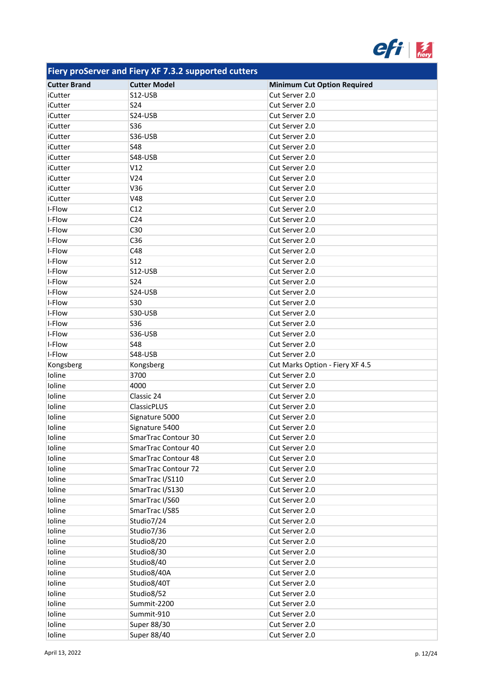

| <b>Cutter Brand</b> | <b>Cutter Model</b> | <b>Minimum Cut Option Required</b> |
|---------------------|---------------------|------------------------------------|
| iCutter             | S12-USB             | Cut Server 2.0                     |
| iCutter             | <b>S24</b>          | Cut Server 2.0                     |
| iCutter             | S24-USB             | Cut Server 2.0                     |
| iCutter             | <b>S36</b>          | Cut Server 2.0                     |
| iCutter             | S36-USB             | Cut Server 2.0                     |
| iCutter             | <b>S48</b>          | Cut Server 2.0                     |
| iCutter             | S48-USB             | Cut Server 2.0                     |
| iCutter             | V12                 | Cut Server 2.0                     |
| iCutter             | V24                 | Cut Server 2.0                     |
| iCutter             | V36                 | Cut Server 2.0                     |
| iCutter             | <b>V48</b>          | Cut Server 2.0                     |
| I-Flow              | C12                 | Cut Server 2.0                     |
| I-Flow              | C <sub>24</sub>     | Cut Server 2.0                     |
| I-Flow              | C30                 | Cut Server 2.0                     |
| I-Flow              | C36                 | Cut Server 2.0                     |
| I-Flow              | C48                 | Cut Server 2.0                     |
| I-Flow              | <b>S12</b>          | Cut Server 2.0                     |
| I-Flow              | S12-USB             | Cut Server 2.0                     |
| I-Flow              | <b>S24</b>          | Cut Server 2.0                     |
| I-Flow              | S24-USB             | Cut Server 2.0                     |
| I-Flow              | <b>S30</b>          | Cut Server 2.0                     |
| I-Flow              | S30-USB             | Cut Server 2.0                     |
| I-Flow              | <b>S36</b>          | Cut Server 2.0                     |
| I-Flow              | S36-USB             | Cut Server 2.0                     |
| I-Flow              | <b>S48</b>          | Cut Server 2.0                     |
| I-Flow              | S48-USB             | Cut Server 2.0                     |
| Kongsberg           | Kongsberg           | Cut Marks Option - Fiery XF 4.5    |
| Ioline              | 3700                | Cut Server 2.0                     |
| Ioline              | 4000                | Cut Server 2.0                     |
| Ioline              | Classic 24          | Cut Server 2.0                     |
| Ioline              | ClassicPLUS         | Cut Server 2.0                     |
| Ioline              | Signature 5000      | Cut Server 2.0                     |
| Ioline              | Signature 5400      | Cut Server 2.0                     |
| Ioline              | SmarTrac Contour 30 | Cut Server 2.0                     |
| Ioline              | SmarTrac Contour 40 | Cut Server 2.0                     |
| Ioline              | SmarTrac Contour 48 | Cut Server 2.0                     |
| Ioline              | SmarTrac Contour 72 | Cut Server 2.0                     |
| Ioline              | SmarTrac I/S110     | Cut Server 2.0                     |
| Ioline              | SmarTrac I/S130     | Cut Server 2.0                     |
| Ioline              | SmarTrac I/S60      | Cut Server 2.0                     |
| Ioline              | SmarTrac I/S85      | Cut Server 2.0                     |
| Ioline              | Studio7/24          | Cut Server 2.0                     |
| Ioline              | Studio7/36          | Cut Server 2.0                     |
| Ioline              | Studio8/20          | Cut Server 2.0                     |
| Ioline              | Studio8/30          | Cut Server 2.0                     |
| Ioline              | Studio8/40          | Cut Server 2.0                     |
| Ioline              | Studio8/40A         | Cut Server 2.0                     |
| Ioline              | Studio8/40T         | Cut Server 2.0                     |
| Ioline              | Studio8/52          | Cut Server 2.0                     |
| Ioline              | Summit-2200         | Cut Server 2.0                     |
| Ioline              | Summit-910          | Cut Server 2.0                     |
| Ioline              | Super 88/30         | Cut Server 2.0                     |
| Ioline              | Super 88/40         | Cut Server 2.0                     |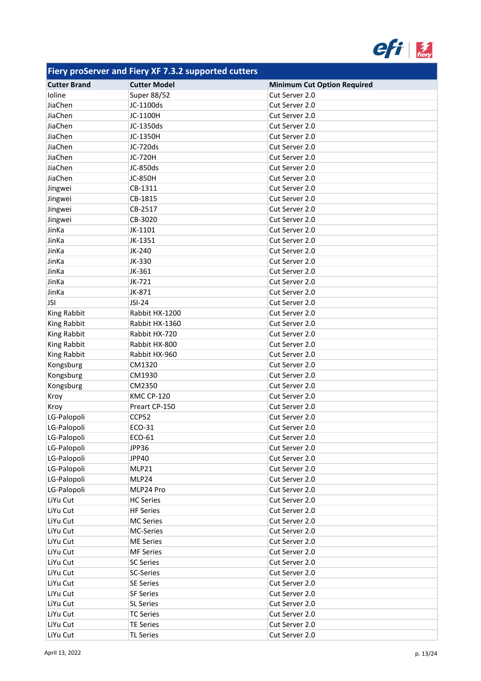

| <b>Cutter Brand</b> | <b>Cutter Model</b> | <b>Minimum Cut Option Required</b> |
|---------------------|---------------------|------------------------------------|
| Ioline              | <b>Super 88/52</b>  | Cut Server 2.0                     |
| JiaChen             | JC-1100ds           | Cut Server 2.0                     |
| JiaChen             | JC-1100H            | Cut Server 2.0                     |
| JiaChen             | JC-1350ds           | Cut Server 2.0                     |
| JiaChen             | JC-1350H            | Cut Server 2.0                     |
| JiaChen             | JC-720ds            | Cut Server 2.0                     |
| JiaChen             | JC-720H             | Cut Server 2.0                     |
| JiaChen             | JC-850ds            | Cut Server 2.0                     |
| JiaChen             | <b>JC-850H</b>      | Cut Server 2.0                     |
| Jingwei             | CB-1311             | Cut Server 2.0                     |
| Jingwei             | CB-1815             | Cut Server 2.0                     |
| Jingwei             | CB-2517             | Cut Server 2.0                     |
| Jingwei             | CB-3020             | Cut Server 2.0                     |
| JinKa               | JK-1101             | Cut Server 2.0                     |
| JinKa               | JK-1351             | Cut Server 2.0                     |
| JinKa               | JK-240              | Cut Server 2.0                     |
| JinKa               | JK-330              | Cut Server 2.0                     |
| JinKa               | JK-361              | Cut Server 2.0                     |
| JinKa               | JK-721              | Cut Server 2.0                     |
| JinKa               | JK-871              | Cut Server 2.0                     |
| <b>JSI</b>          | JSI-24              | Cut Server 2.0                     |
| King Rabbit         | Rabbit HX-1200      | Cut Server 2.0                     |
| King Rabbit         | Rabbit HX-1360      | Cut Server 2.0                     |
| King Rabbit         | Rabbit HX-720       | Cut Server 2.0                     |
| King Rabbit         | Rabbit HX-800       | Cut Server 2.0                     |
| King Rabbit         | Rabbit HX-960       | Cut Server 2.0                     |
| Kongsburg           | CM1320              | Cut Server 2.0                     |
| Kongsburg           | CM1930              | Cut Server 2.0                     |
| Kongsburg           | CM2350              | Cut Server 2.0                     |
| Kroy                | <b>KMC CP-120</b>   | Cut Server 2.0                     |
| Kroy                | Preart CP-150       | Cut Server 2.0                     |
| LG-Palopoli         | CCP52               | Cut Server 2.0                     |
| LG-Palopoli         | ECO-31              | Cut Server 2.0                     |
| LG-Palopoli         | ECO-61              | Cut Server 2.0                     |
| LG-Palopoli         | JPP36               | Cut Server 2.0                     |
| LG-Palopoli         | JPP40               | Cut Server 2.0                     |
| LG-Palopoli         | MLP21               | Cut Server 2.0                     |
| LG-Palopoli         | MLP24               | Cut Server 2.0                     |
| LG-Palopoli         | MLP24 Pro           | Cut Server 2.0                     |
| LiYu Cut            | <b>HC Series</b>    | Cut Server 2.0                     |
| LiYu Cut            | <b>HF Series</b>    | Cut Server 2.0                     |
| LiYu Cut            | <b>MC Series</b>    | Cut Server 2.0                     |
| LiYu Cut            | MC-Series           | Cut Server 2.0                     |
| LiYu Cut            | <b>ME Series</b>    | Cut Server 2.0                     |
| LiYu Cut            | <b>MF Series</b>    | Cut Server 2.0                     |
| LiYu Cut            | <b>SC Series</b>    | Cut Server 2.0                     |
| LiYu Cut            | SC-Series           | Cut Server 2.0                     |
| LiYu Cut            | <b>SE Series</b>    | Cut Server 2.0                     |
| LiYu Cut            | <b>SF Series</b>    | Cut Server 2.0                     |
| LiYu Cut            | <b>SL Series</b>    | Cut Server 2.0                     |
| LiYu Cut            | <b>TC Series</b>    | Cut Server 2.0                     |
| LiYu Cut            | <b>TE Series</b>    | Cut Server 2.0                     |
| LiYu Cut            | <b>TL Series</b>    | Cut Server 2.0                     |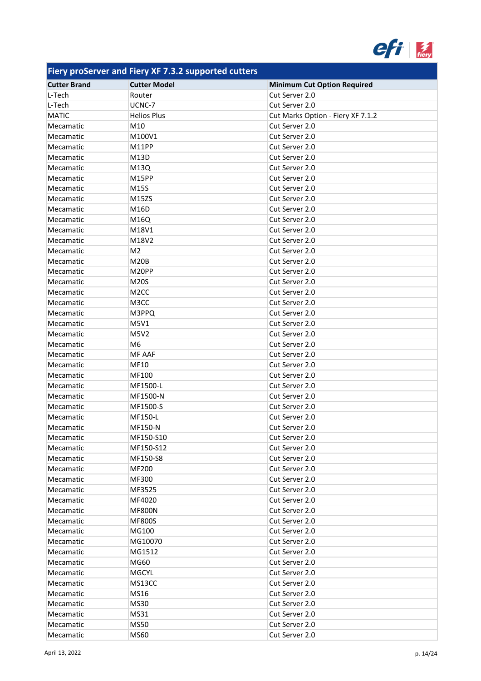

| <b>Cutter Brand</b> | <b>Cutter Model</b> | <b>Minimum Cut Option Required</b> |
|---------------------|---------------------|------------------------------------|
| L-Tech              | Router              | Cut Server 2.0                     |
| L-Tech              | UCNC-7              | Cut Server 2.0                     |
| <b>MATIC</b>        | <b>Helios Plus</b>  | Cut Marks Option - Fiery XF 7.1.2  |
| Mecamatic           | M10                 | Cut Server 2.0                     |
| Mecamatic           | M100V1              | Cut Server 2.0                     |
| Mecamatic           | M11PP               | Cut Server 2.0                     |
| Mecamatic           | M13D                | Cut Server 2.0                     |
| Mecamatic           | M13Q                | Cut Server 2.0                     |
| Mecamatic           | M15PP               | Cut Server 2.0                     |
| Mecamatic           | M15S                | Cut Server 2.0                     |
| Mecamatic           | M15ZS               | Cut Server 2.0                     |
| Mecamatic           | M16D                | Cut Server 2.0                     |
| Mecamatic           | M16Q                | Cut Server 2.0                     |
| Mecamatic           | M18V1               | Cut Server 2.0                     |
| Mecamatic           | M18V2               | Cut Server 2.0                     |
| Mecamatic           | M <sub>2</sub>      | Cut Server 2.0                     |
| Mecamatic           | <b>M20B</b>         | Cut Server 2.0                     |
| Mecamatic           | M20PP               | Cut Server 2.0                     |
| Mecamatic           | <b>M20S</b>         | Cut Server 2.0                     |
| Mecamatic           | M <sub>2</sub> CC   | Cut Server 2.0                     |
| Mecamatic           | M3CC                | Cut Server 2.0                     |
| Mecamatic           | M3PPQ               | Cut Server 2.0                     |
| Mecamatic           | M5V1                | Cut Server 2.0                     |
| Mecamatic           | M5V2                | Cut Server 2.0                     |
| Mecamatic           | M <sub>6</sub>      | Cut Server 2.0                     |
| Mecamatic           | <b>MF AAF</b>       | Cut Server 2.0                     |
| Mecamatic           | MF10                | Cut Server 2.0                     |
| Mecamatic           | MF100               | Cut Server 2.0                     |
| Mecamatic           | MF1500-L            | Cut Server 2.0                     |
| Mecamatic           | MF1500-N            | Cut Server 2.0                     |
| Mecamatic           | MF1500-S            | Cut Server 2.0                     |
| Mecamatic           | MF150-L             | Cut Server 2.0                     |
| Mecamatic           | MF150-N             | Cut Server 2.0                     |
| Mecamatic           | MF150-S10           | Cut Server 2.0                     |
| Mecamatic           | MF150-S12           | Cut Server 2.0                     |
| Mecamatic           | MF150-S8            | Cut Server 2.0                     |
| Mecamatic           | MF200               | Cut Server 2.0                     |
| Mecamatic           | MF300               | Cut Server 2.0                     |
| Mecamatic           | MF3525              | Cut Server 2.0                     |
| Mecamatic           | MF4020              | Cut Server 2.0                     |
| Mecamatic           | <b>MF800N</b>       | Cut Server 2.0                     |
| Mecamatic           | <b>MF800S</b>       | Cut Server 2.0                     |
| Mecamatic           | MG100               | Cut Server 2.0                     |
| Mecamatic           | MG10070             | Cut Server 2.0                     |
| Mecamatic           | MG1512              | Cut Server 2.0                     |
| Mecamatic           | MG60                | Cut Server 2.0                     |
| Mecamatic           | <b>MGCYL</b>        | Cut Server 2.0                     |
| Mecamatic           | MS13CC              | Cut Server 2.0                     |
| Mecamatic           | MS16                | Cut Server 2.0                     |
| Mecamatic           | MS30                | Cut Server 2.0                     |
| Mecamatic           | MS31                | Cut Server 2.0                     |
| Mecamatic           | <b>MS50</b>         | Cut Server 2.0                     |
| Mecamatic           | <b>MS60</b>         | Cut Server 2.0                     |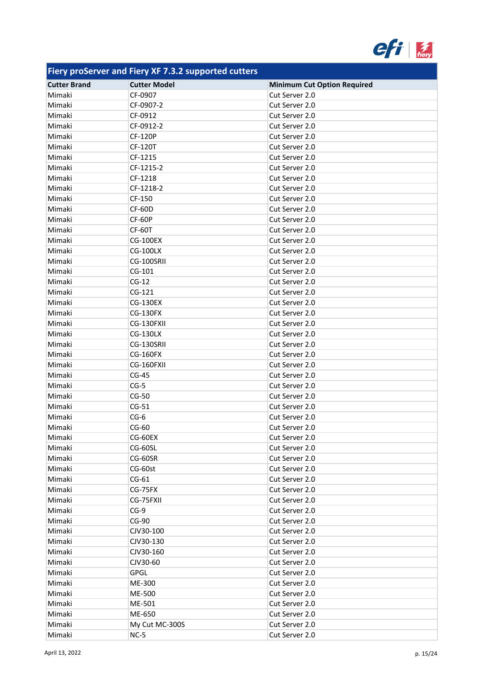

| <b>Cutter Brand</b> | <b>Cutter Model</b> | <b>Minimum Cut Option Required</b> |
|---------------------|---------------------|------------------------------------|
| Mimaki              | CF-0907             | Cut Server 2.0                     |
| Mimaki              | CF-0907-2           | Cut Server 2.0                     |
| Mimaki              | CF-0912             | Cut Server 2.0                     |
| Mimaki              | CF-0912-2           | Cut Server 2.0                     |
| Mimaki              | <b>CF-120P</b>      | Cut Server 2.0                     |
| Mimaki              | CF-120T             | Cut Server 2.0                     |
| Mimaki              | CF-1215             | Cut Server 2.0                     |
| Mimaki              | CF-1215-2           | Cut Server 2.0                     |
| Mimaki              | CF-1218             | Cut Server 2.0                     |
| Mimaki              | CF-1218-2           | Cut Server 2.0                     |
| Mimaki              | CF-150              | Cut Server 2.0                     |
| Mimaki              | <b>CF-60D</b>       | Cut Server 2.0                     |
| Mimaki              | CF-60P              | Cut Server 2.0                     |
| Mimaki              | CF-60T              | Cut Server 2.0                     |
| Mimaki              | <b>CG-100EX</b>     | Cut Server 2.0                     |
| Mimaki              | <b>CG-100LX</b>     | Cut Server 2.0                     |
| Mimaki              | CG-100SRII          | Cut Server 2.0                     |
| Mimaki              | $CG-101$            | Cut Server 2.0                     |
|                     | $CG-12$             |                                    |
| Mimaki<br>Mimaki    | $CG-121$            | Cut Server 2.0                     |
|                     |                     | Cut Server 2.0                     |
| Mimaki              | <b>CG-130EX</b>     | Cut Server 2.0                     |
| Mimaki              | <b>CG-130FX</b>     | Cut Server 2.0                     |
| Mimaki              | CG-130FXII          | Cut Server 2.0                     |
| Mimaki              | <b>CG-130LX</b>     | Cut Server 2.0                     |
| Mimaki              | CG-130SRII          | Cut Server 2.0                     |
| Mimaki              | <b>CG-160FX</b>     | Cut Server 2.0                     |
| Mimaki              | CG-160FXII          | Cut Server 2.0                     |
| Mimaki              | $CG-45$             | Cut Server 2.0                     |
| Mimaki              | $CG-5$              | Cut Server 2.0                     |
| Mimaki              | $CG-50$             | Cut Server 2.0                     |
| Mimaki              | $CG-51$             | Cut Server 2.0                     |
| Mimaki              | $CG-6$              | Cut Server 2.0                     |
| Mimaki              | $CG-60$             | Cut Server 2.0                     |
| Mimaki              | CG-60EX             | Cut Server 2.0                     |
| Mimaki              | CG-60SL             | Cut Server 2.0                     |
| Mimaki              | CG-60SR             | Cut Server 2.0                     |
| Mimaki              | CG-60st             | Cut Server 2.0                     |
| Mimaki              | $CG-61$             | Cut Server 2.0                     |
| Mimaki              | CG-75FX             | Cut Server 2.0                     |
| Mimaki              | CG-75FXII           | Cut Server 2.0                     |
| Mimaki              | $CG-9$              | Cut Server 2.0                     |
| Mimaki              | CG-90               | Cut Server 2.0                     |
| Mimaki              | CJV30-100           | Cut Server 2.0                     |
| Mimaki              | CJV30-130           | Cut Server 2.0                     |
| Mimaki              | CJV30-160           | Cut Server 2.0                     |
| Mimaki              | CJV30-60            | Cut Server 2.0                     |
| Mimaki              | <b>GPGL</b>         | Cut Server 2.0                     |
| Mimaki              | ME-300              | Cut Server 2.0                     |
| Mimaki              | ME-500              | Cut Server 2.0                     |
| Mimaki              | ME-501              | Cut Server 2.0                     |
| Mimaki              | ME-650              | Cut Server 2.0                     |
| Mimaki              | My Cut MC-300S      | Cut Server 2.0                     |
| Mimaki              | $NC-5$              | Cut Server 2.0                     |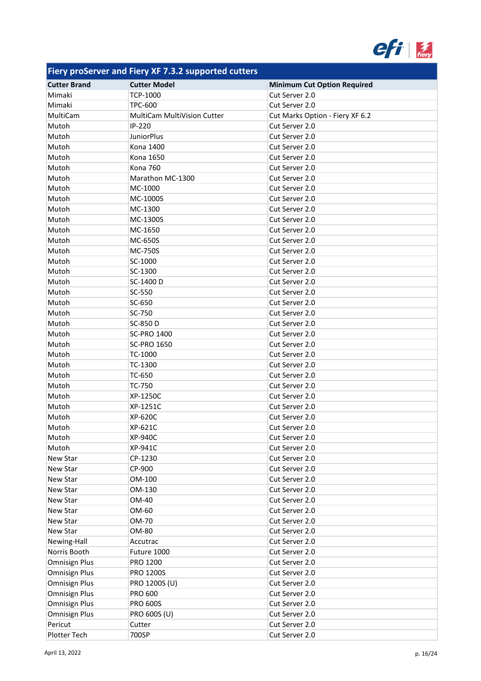

| <b>Cutter Brand</b>  | <b>Cutter Model</b>                | <b>Minimum Cut Option Required</b> |
|----------------------|------------------------------------|------------------------------------|
| Mimaki               | <b>TCP-1000</b>                    | Cut Server 2.0                     |
| Mimaki               | <b>TPC-600</b>                     | Cut Server 2.0                     |
| MultiCam             | <b>MultiCam MultiVision Cutter</b> | Cut Marks Option - Fiery XF 6.2    |
| Mutoh                | IP-220                             | Cut Server 2.0                     |
| Mutoh                | <b>JuniorPlus</b>                  | Cut Server 2.0                     |
| Mutoh                | Kona 1400                          | Cut Server 2.0                     |
| Mutoh                | Kona 1650                          | Cut Server 2.0                     |
| Mutoh                | <b>Kona 760</b>                    | Cut Server 2.0                     |
| Mutoh                | Marathon MC-1300                   | Cut Server 2.0                     |
| Mutoh                | MC-1000                            | Cut Server 2.0                     |
| Mutoh                | MC-1000S                           | Cut Server 2.0                     |
| Mutoh                | MC-1300                            | Cut Server 2.0                     |
| Mutoh                | MC-1300S                           | Cut Server 2.0                     |
| Mutoh                | MC-1650                            | Cut Server 2.0                     |
| Mutoh                | MC-650S                            | Cut Server 2.0                     |
| Mutoh                | <b>MC-750S</b>                     | Cut Server 2.0                     |
| Mutoh                | SC-1000                            | Cut Server 2.0                     |
| Mutoh                | SC-1300                            | Cut Server 2.0                     |
| Mutoh                | SC-1400 D                          | Cut Server 2.0                     |
| Mutoh                | SC-550                             | Cut Server 2.0                     |
| Mutoh                | SC-650                             | Cut Server 2.0                     |
| Mutoh                | SC-750                             | Cut Server 2.0                     |
|                      |                                    |                                    |
| Mutoh                | SC-850 D                           | Cut Server 2.0                     |
| Mutoh                | <b>SC-PRO 1400</b>                 | Cut Server 2.0                     |
| Mutoh                | <b>SC-PRO 1650</b>                 | Cut Server 2.0                     |
| Mutoh                | TC-1000                            | Cut Server 2.0                     |
| Mutoh                | TC-1300                            | Cut Server 2.0                     |
| Mutoh                | TC-650                             | Cut Server 2.0                     |
| Mutoh                | TC-750                             | Cut Server 2.0                     |
| Mutoh                | XP-1250C                           | Cut Server 2.0                     |
| Mutoh                | XP-1251C                           | Cut Server 2.0                     |
| Mutoh                | XP-620C                            | Cut Server 2.0                     |
| Mutoh                | XP-621C                            | Cut Server 2.0                     |
| Mutoh                | XP-940C                            | Cut Server 2.0                     |
| Mutoh                | XP-941C                            | Cut Server 2.0                     |
| New Star             | CP-1230                            | Cut Server 2.0                     |
| New Star             | CP-900                             | Cut Server 2.0                     |
| New Star             | OM-100                             | Cut Server 2.0                     |
| New Star             | OM-130                             | Cut Server 2.0                     |
| New Star             | OM-40                              | Cut Server 2.0                     |
| New Star             | OM-60                              | Cut Server 2.0                     |
| New Star             | OM-70                              | Cut Server 2.0                     |
| New Star             | OM-80                              | Cut Server 2.0                     |
| Newing-Hall          | Accutrac                           | Cut Server 2.0                     |
| Norris Booth         | Future 1000                        | Cut Server 2.0                     |
| <b>Omnisign Plus</b> | PRO 1200                           | Cut Server 2.0                     |
| <b>Omnisign Plus</b> | PRO 1200S                          | Cut Server 2.0                     |
| <b>Omnisign Plus</b> | PRO 1200S (U)                      | Cut Server 2.0                     |
| <b>Omnisign Plus</b> | <b>PRO 600</b>                     | Cut Server 2.0                     |
| <b>Omnisign Plus</b> | <b>PRO 600S</b>                    | Cut Server 2.0                     |
| <b>Omnisign Plus</b> | PRO 600S (U)                       | Cut Server 2.0                     |
| Pericut              | Cutter                             | Cut Server 2.0                     |
| Plotter Tech         | 700SP                              | Cut Server 2.0                     |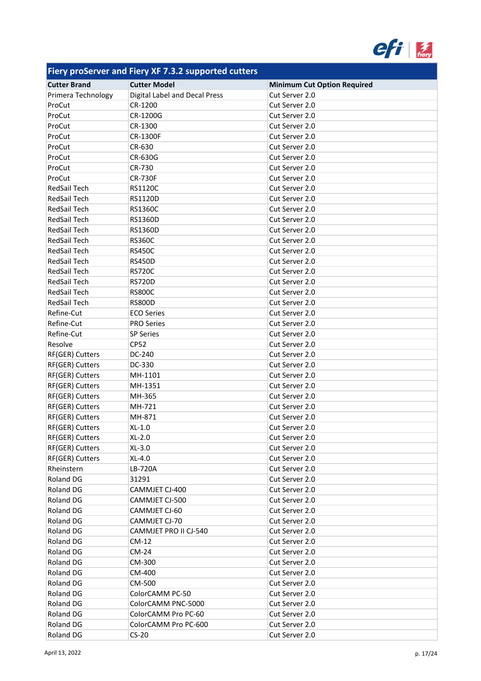

| . .                 |                               |                                    |
|---------------------|-------------------------------|------------------------------------|
| <b>Cutter Brand</b> | <b>Cutter Model</b>           | <b>Minimum Cut Option Required</b> |
| Primera Technology  | Digital Label and Decal Press | Cut Server 2.0                     |
| ProCut              | CR-1200                       | Cut Server 2.0                     |
| ProCut              | CR-1200G                      | Cut Server 2.0                     |
| ProCut              | CR-1300                       | Cut Server 2.0                     |
| ProCut              | <b>CR-1300F</b>               | Cut Server 2.0                     |
| ProCut              | CR-630                        | Cut Server 2.0                     |
| ProCut              | CR-630G                       | Cut Server 2.0                     |
| ProCut              | CR-730                        | Cut Server 2.0                     |
| ProCut              | <b>CR-730F</b>                | Cut Server 2.0                     |
| RedSail Tech        | RS1120C                       | Cut Server 2.0                     |
| RedSail Tech        | RS1120D                       | Cut Server 2.0                     |
| RedSail Tech        | <b>RS1360C</b>                | Cut Server 2.0                     |
| RedSail Tech        | RS1360D                       | Cut Server 2.0                     |
| RedSail Tech        | <b>RS1360D</b>                | Cut Server 2.0                     |
| RedSail Tech        | <b>RS360C</b>                 | Cut Server 2.0                     |
| <b>RedSail Tech</b> | <b>RS450C</b>                 | Cut Server 2.0                     |
| <b>RedSail Tech</b> | <b>RS450D</b>                 | Cut Server 2.0                     |
| RedSail Tech        | <b>RS720C</b>                 | Cut Server 2.0                     |
| <b>RedSail Tech</b> | <b>RS720D</b>                 | Cut Server 2.0                     |
| RedSail Tech        | <b>RS800C</b>                 | Cut Server 2.0                     |
| RedSail Tech        | <b>RS800D</b>                 | Cut Server 2.0                     |
| Refine-Cut          | <b>ECO Series</b>             | Cut Server 2.0                     |
| Refine-Cut          | <b>PRO Series</b>             | Cut Server 2.0                     |
| Refine-Cut          | <b>SP Series</b>              | Cut Server 2.0                     |
| Resolve             | <b>CP52</b>                   | Cut Server 2.0                     |
| RF(GER) Cutters     | DC-240                        | Cut Server 2.0                     |
| RF(GER) Cutters     | DC-330                        | Cut Server 2.0                     |
| RF(GER) Cutters     | MH-1101                       | Cut Server 2.0                     |
| RF(GER) Cutters     | MH-1351                       | Cut Server 2.0                     |
| RF(GER) Cutters     | MH-365                        | Cut Server 2.0                     |
| RF(GER) Cutters     | MH-721                        | Cut Server 2.0                     |
| RF(GER) Cutters     | MH-871                        | Cut Server 2.0                     |
| RF(GER) Cutters     | $XL-1.0$                      | Cut Server 2.0                     |
| RF(GER) Cutters     | $XL-2.0$                      | Cut Server 2.0                     |
| RF(GER) Cutters     | $XL-3.0$                      | Cut Server 2.0                     |
| RF(GER) Cutters     | XL-4.0                        | Cut Server 2.0                     |
| Rheinstern          | LB-720A                       | Cut Server 2.0                     |
| Roland DG           | 31291                         | Cut Server 2.0                     |
| Roland DG           | CAMMJET CJ-400                | Cut Server 2.0                     |
| Roland DG           | CAMMJET CJ-500                | Cut Server 2.0                     |
| Roland DG           | CAMMJET CJ-60                 | Cut Server 2.0                     |
| Roland DG           | CAMMJET CJ-70                 | Cut Server 2.0                     |
| Roland DG           | CAMMJET PRO II CJ-540         | Cut Server 2.0                     |
| Roland DG           | $CM-12$                       | Cut Server 2.0                     |
| Roland DG           | CM-24                         | Cut Server 2.0                     |
| Roland DG           |                               |                                    |
|                     | CM-300                        | Cut Server 2.0                     |
| Roland DG           | CM-400                        | Cut Server 2.0                     |
| Roland DG           | CM-500                        | Cut Server 2.0                     |
| Roland DG           | ColorCAMM PC-50               | Cut Server 2.0                     |
| Roland DG           | ColorCAMM PNC-5000            | Cut Server 2.0                     |
| Roland DG           | ColorCAMM Pro PC-60           | Cut Server 2.0                     |
| Roland DG           | ColorCAMM Pro PC-600          | Cut Server 2.0                     |
| Roland DG           | $CS-20$                       | Cut Server 2.0                     |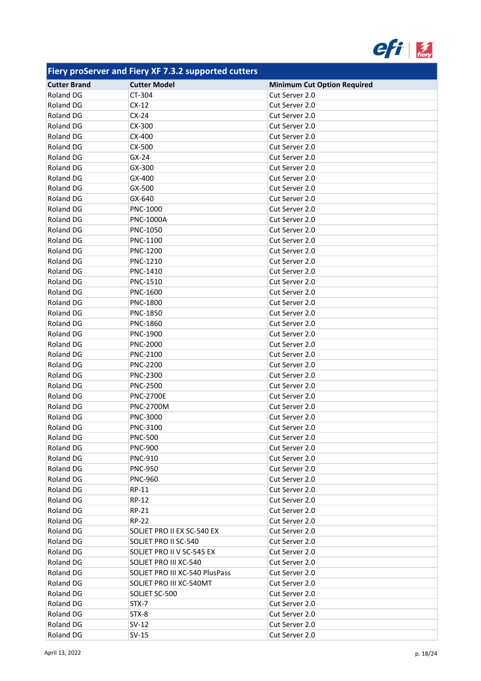

| . .                              |                                |                                                      |
|----------------------------------|--------------------------------|------------------------------------------------------|
| <b>Cutter Brand</b><br>Roland DG | <b>Cutter Model</b><br>CT-304  | <b>Minimum Cut Option Required</b><br>Cut Server 2.0 |
| <b>Roland DG</b>                 | $CX-12$                        | Cut Server 2.0                                       |
| Roland DG                        | $CX-24$                        | Cut Server 2.0                                       |
|                                  |                                |                                                      |
| Roland DG                        | CX-300                         | Cut Server 2.0                                       |
| Roland DG                        | CX-400                         | Cut Server 2.0                                       |
| Roland DG                        | CX-500                         | Cut Server 2.0                                       |
| <b>Roland DG</b>                 | $GX-24$                        | Cut Server 2.0                                       |
| Roland DG                        | GX-300                         | Cut Server 2.0                                       |
| Roland DG                        | GX-400                         | Cut Server 2.0                                       |
| Roland DG                        | GX-500                         | Cut Server 2.0                                       |
| Roland DG                        | GX-640                         | Cut Server 2.0                                       |
| Roland DG                        | PNC-1000                       | Cut Server 2.0                                       |
| Roland DG                        | <b>PNC-1000A</b>               | Cut Server 2.0                                       |
| Roland DG                        | PNC-1050                       | Cut Server 2.0                                       |
| Roland DG                        | PNC-1100                       | Cut Server 2.0                                       |
| Roland DG                        | PNC-1200                       | Cut Server 2.0                                       |
| Roland DG                        | PNC-1210                       | Cut Server 2.0                                       |
| Roland DG                        | PNC-1410                       | Cut Server 2.0                                       |
| Roland DG                        | PNC-1510                       | Cut Server 2.0                                       |
| Roland DG                        | PNC-1600                       | Cut Server 2.0                                       |
| Roland DG                        | PNC-1800                       | Cut Server 2.0                                       |
| Roland DG                        | <b>PNC-1850</b>                | Cut Server 2.0                                       |
| Roland DG                        | PNC-1860                       | Cut Server 2.0                                       |
| Roland DG                        | PNC-1900                       | Cut Server 2.0                                       |
| Roland DG                        | <b>PNC-2000</b>                | Cut Server 2.0                                       |
| Roland DG                        | <b>PNC-2100</b>                | Cut Server 2.0                                       |
| Roland DG                        | <b>PNC-2200</b>                | Cut Server 2.0                                       |
| Roland DG                        | PNC-2300                       | Cut Server 2.0                                       |
| Roland DG                        | <b>PNC-2500</b>                | Cut Server 2.0                                       |
| Roland DG                        | <b>PNC-2700E</b>               | Cut Server 2.0                                       |
| Roland DG                        | <b>PNC-2700M</b>               | Cut Server 2.0                                       |
| Roland DG                        | PNC-3000                       | Cut Server 2.0                                       |
| Roland DG                        | PNC-3100                       | Cut Server 2.0                                       |
| Roland DG                        | <b>PNC-500</b>                 | Cut Server 2.0                                       |
| Roland DG                        | <b>PNC-900</b>                 | Cut Server 2.0                                       |
| Roland DG                        | <b>PNC-910</b>                 | Cut Server 2.0                                       |
| Roland DG                        | <b>PNC-950</b>                 | Cut Server 2.0                                       |
| Roland DG                        | <b>PNC-960</b>                 | Cut Server 2.0                                       |
|                                  |                                |                                                      |
| Roland DG                        | RP-11                          | Cut Server 2.0                                       |
| Roland DG                        | RP-12                          | Cut Server 2.0                                       |
| Roland DG                        | RP-21                          | Cut Server 2.0                                       |
| Roland DG                        | <b>RP-22</b>                   | Cut Server 2.0                                       |
| Roland DG                        | SOLJET PRO II EX SC-540 EX     | Cut Server 2.0                                       |
| Roland DG                        | SOLJET PRO II SC-540           | Cut Server 2.0                                       |
| Roland DG                        | SOLJET PRO II V SC-545 EX      | Cut Server 2.0                                       |
| Roland DG                        | SOLJET PRO III XC-540          | Cut Server 2.0                                       |
| Roland DG                        | SOLJET PRO III XC-540 PlusPass | Cut Server 2.0                                       |
| Roland DG                        | SOLJET PRO III XC-540MT        | Cut Server 2.0                                       |
| Roland DG                        | SOLJET SC-500                  | Cut Server 2.0                                       |
| Roland DG                        | STX-7                          | Cut Server 2.0                                       |
| Roland DG                        | STX-8                          | Cut Server 2.0                                       |
| Roland DG                        | $SV-12$                        | Cut Server 2.0                                       |
| Roland DG                        | $SV-15$                        | Cut Server 2.0                                       |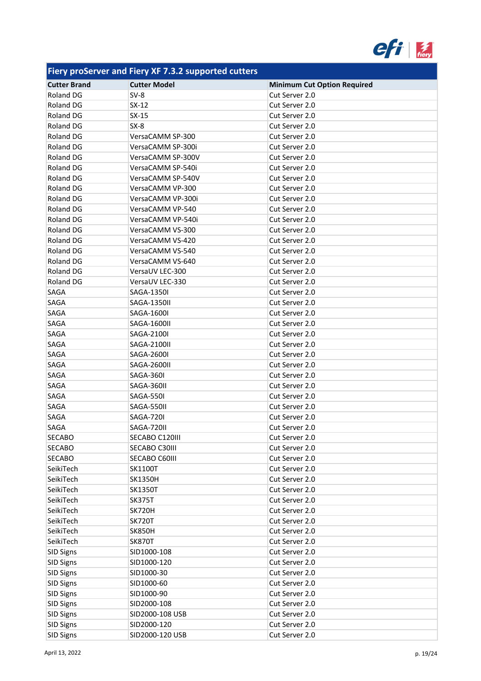

| <b>Cutter Brand</b> | <b>Cutter Model</b> | <b>Minimum Cut Option Required</b> |
|---------------------|---------------------|------------------------------------|
| Roland DG           | $SV-8$              | Cut Server 2.0                     |
| Roland DG           | $SX-12$             | Cut Server 2.0                     |
| Roland DG           | $SX-15$             | Cut Server 2.0                     |
| Roland DG           | $SX-8$              | Cut Server 2.0                     |
| Roland DG           | VersaCAMM SP-300    | Cut Server 2.0                     |
| Roland DG           | VersaCAMM SP-300i   | Cut Server 2.0                     |
| Roland DG           | VersaCAMM SP-300V   | Cut Server 2.0                     |
| Roland DG           | VersaCAMM SP-540i   | Cut Server 2.0                     |
| Roland DG           | VersaCAMM SP-540V   | Cut Server 2.0                     |
| <b>Roland DG</b>    | VersaCAMM VP-300    | Cut Server 2.0                     |
| Roland DG           | VersaCAMM VP-300i   | Cut Server 2.0                     |
| Roland DG           | VersaCAMM VP-540    | Cut Server 2.0                     |
| Roland DG           | VersaCAMM VP-540i   | Cut Server 2.0                     |
| Roland DG           | VersaCAMM VS-300    | Cut Server 2.0                     |
| <b>Roland DG</b>    | VersaCAMM VS-420    | Cut Server 2.0                     |
| Roland DG           | VersaCAMM VS-540    | Cut Server 2.0                     |
| Roland DG           | VersaCAMM VS-640    | Cut Server 2.0                     |
| Roland DG           | VersaUV LEC-300     | Cut Server 2.0                     |
| Roland DG           | VersaUV LEC-330     | Cut Server 2.0                     |
| SAGA                | <b>SAGA-1350I</b>   | Cut Server 2.0                     |
| SAGA                | <b>SAGA-1350II</b>  | Cut Server 2.0                     |
| SAGA                | <b>SAGA-1600I</b>   | Cut Server 2.0                     |
| SAGA                | SAGA-1600II         | Cut Server 2.0                     |
| SAGA                | SAGA-2100I          | Cut Server 2.0                     |
| SAGA                | SAGA-2100II         | Cut Server 2.0                     |
| SAGA                | SAGA-2600I          | Cut Server 2.0                     |
| SAGA                | SAGA-2600II         | Cut Server 2.0                     |
| SAGA                | SAGA-360I           | Cut Server 2.0                     |
| SAGA                | SAGA-360II          | Cut Server 2.0                     |
| SAGA                | <b>SAGA-550I</b>    | Cut Server 2.0                     |
| SAGA                | SAGA-550II          | Cut Server 2.0                     |
| SAGA                | <b>SAGA-720I</b>    | Cut Server 2.0                     |
| SAGA                | SAGA-720II          | Cut Server 2.0                     |
| <b>SECABO</b>       | SECABO C120III      | Cut Server 2.0                     |
| <b>SECABO</b>       | SECABO C30III       | Cut Server 2.0                     |
| <b>SECABO</b>       | SECABO C60III       | Cut Server 2.0                     |
| SeikiTech           | SK1100T             | Cut Server 2.0                     |
| SeikiTech           | <b>SK1350H</b>      | Cut Server 2.0                     |
| SeikiTech           | <b>SK1350T</b>      | Cut Server 2.0                     |
| SeikiTech           | <b>SK375T</b>       | Cut Server 2.0                     |
| SeikiTech           | <b>SK720H</b>       | Cut Server 2.0                     |
| SeikiTech           | <b>SK720T</b>       | Cut Server 2.0                     |
| SeikiTech           | <b>SK850H</b>       | Cut Server 2.0                     |
| SeikiTech           | <b>SK870T</b>       | Cut Server 2.0                     |
| <b>SID Signs</b>    | SID1000-108         | Cut Server 2.0                     |
| <b>SID Signs</b>    | SID1000-120         | Cut Server 2.0                     |
| <b>SID Signs</b>    | SID1000-30          | Cut Server 2.0                     |
| <b>SID Signs</b>    | SID1000-60          | Cut Server 2.0                     |
| <b>SID Signs</b>    | SID1000-90          | Cut Server 2.0                     |
| <b>SID Signs</b>    | SID2000-108         | Cut Server 2.0                     |
| <b>SID Signs</b>    | SID2000-108 USB     | Cut Server 2.0                     |
| <b>SID Signs</b>    | SID2000-120         | Cut Server 2.0                     |
| <b>SID Signs</b>    | SID2000-120 USB     | Cut Server 2.0                     |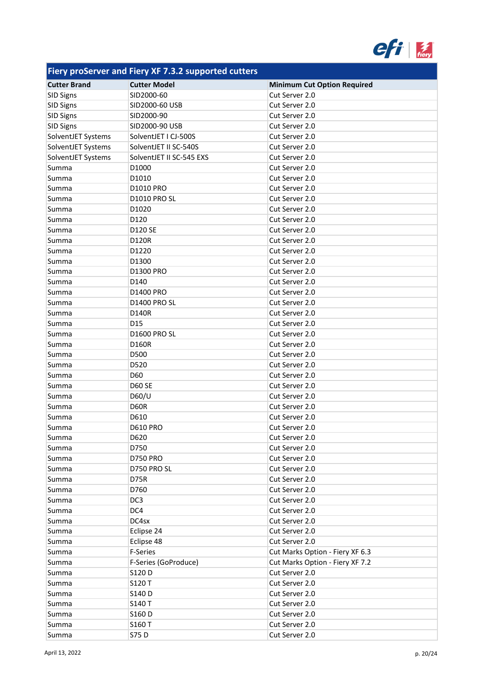

| <b>Cutter Brand</b> | <b>Cutter Model</b>      | <b>Minimum Cut Option Required</b> |
|---------------------|--------------------------|------------------------------------|
| <b>SID Signs</b>    | SID2000-60               | Cut Server 2.0                     |
| <b>SID Signs</b>    | SID2000-60 USB           | Cut Server 2.0                     |
| <b>SID Signs</b>    | SID2000-90               | Cut Server 2.0                     |
| <b>SID Signs</b>    | SID2000-90 USB           | Cut Server 2.0                     |
| SolventJET Systems  | SolventJET I CJ-500S     | Cut Server 2.0                     |
| SolventJET Systems  | SolventJET II SC-540S    | Cut Server 2.0                     |
|                     |                          |                                    |
| SolventJET Systems  | SolventJET II SC-545 EXS | Cut Server 2.0                     |
| Summa               | D1000                    | Cut Server 2.0                     |
| Summa               | D1010                    | Cut Server 2.0                     |
| Summa               | D1010 PRO                | Cut Server 2.0                     |
| Summa               | <b>D1010 PRO SL</b>      | Cut Server 2.0                     |
| Summa               | D1020                    | Cut Server 2.0                     |
| Summa               | D120                     | Cut Server 2.0                     |
| Summa               | <b>D120 SE</b>           | Cut Server 2.0                     |
| Summa               | D120R                    | Cut Server 2.0                     |
| Summa               | D1220                    | Cut Server 2.0                     |
| Summa               | D1300                    | Cut Server 2.0                     |
| Summa               | D1300 PRO                | Cut Server 2.0                     |
| Summa               | D140                     | Cut Server 2.0                     |
| Summa               | D1400 PRO                | Cut Server 2.0                     |
| Summa               | <b>D1400 PRO SL</b>      | Cut Server 2.0                     |
| Summa               | D140R                    | Cut Server 2.0                     |
| Summa               | D <sub>15</sub>          | Cut Server 2.0                     |
| Summa               | <b>D1600 PRO SL</b>      | Cut Server 2.0                     |
| Summa               | D160R                    | Cut Server 2.0                     |
| Summa               | D500                     | Cut Server 2.0                     |
| Summa               | D520                     | Cut Server 2.0                     |
| Summa               | D60                      | Cut Server 2.0                     |
| Summa               | <b>D60 SE</b>            | Cut Server 2.0                     |
| Summa               | D60/U                    | Cut Server 2.0                     |
| Summa               | D60R                     | Cut Server 2.0                     |
| Summa               | D610                     | Cut Server 2.0                     |
| Summa               | <b>D610 PRO</b>          | Cut Server 2.0                     |
| Summa               | D620                     | Cut Server 2.0                     |
| Summa               | D750                     | Cut Server 2.0                     |
| Summa               | <b>D750 PRO</b>          | Cut Server 2.0                     |
| Summa               | D750 PRO SL              | Cut Server 2.0                     |
| Summa               | D75R                     | Cut Server 2.0                     |
| Summa               | D760                     | Cut Server 2.0                     |
| Summa               | DC3                      | Cut Server 2.0                     |
| Summa               | DC4                      | Cut Server 2.0                     |
| Summa               | DC4sx                    | Cut Server 2.0                     |
| Summa               | Eclipse 24               | Cut Server 2.0                     |
|                     | Eclipse 48               | Cut Server 2.0                     |
| Summa               | F-Series                 | Cut Marks Option - Fiery XF 6.3    |
| Summa               | F-Series (GoProduce)     | Cut Marks Option - Fiery XF 7.2    |
| Summa               |                          |                                    |
| Summa               | S120 D                   | Cut Server 2.0                     |
| Summa               | S120 T                   | Cut Server 2.0                     |
| Summa               | S140 D                   | Cut Server 2.0                     |
| Summa               | S140 T                   | Cut Server 2.0                     |
| Summa               | S160 D                   | Cut Server 2.0                     |
| Summa               | S160 T                   | Cut Server 2.0                     |
| Summa               | S75 D                    | Cut Server 2.0                     |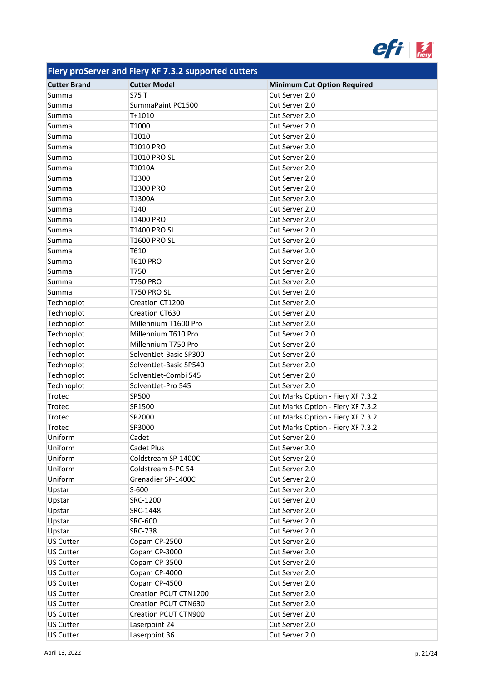

| <b>Cutter Brand</b> | <b>Cutter Model</b>    | <b>Minimum Cut Option Required</b> |
|---------------------|------------------------|------------------------------------|
| Summa               | S75 T                  | Cut Server 2.0                     |
| Summa               | SummaPaint PC1500      | Cut Server 2.0                     |
| Summa               | T+1010                 | Cut Server 2.0                     |
| Summa               | T1000                  | Cut Server 2.0                     |
| Summa               | T1010                  | Cut Server 2.0                     |
| Summa               | T1010 PRO              | Cut Server 2.0                     |
| Summa               | <b>T1010 PRO SL</b>    | Cut Server 2.0                     |
| Summa               | T1010A                 | Cut Server 2.0                     |
| Summa               | T1300                  | Cut Server 2.0                     |
| Summa               | <b>T1300 PRO</b>       | Cut Server 2.0                     |
| Summa               | T1300A                 | Cut Server 2.0                     |
| Summa               | T140                   | Cut Server 2.0                     |
| Summa               | <b>T1400 PRO</b>       | Cut Server 2.0                     |
| Summa               | <b>T1400 PRO SL</b>    | Cut Server 2.0                     |
| Summa               | <b>T1600 PRO SL</b>    | Cut Server 2.0                     |
| Summa               | T610                   | Cut Server 2.0                     |
| Summa               | <b>T610 PRO</b>        | Cut Server 2.0                     |
| Summa               | T750                   | Cut Server 2.0                     |
| Summa               | <b>T750 PRO</b>        | Cut Server 2.0                     |
| Summa               | <b>T750 PRO SL</b>     | Cut Server 2.0                     |
| Technoplot          | Creation CT1200        | Cut Server 2.0                     |
| Technoplot          | Creation CT630         | Cut Server 2.0                     |
| Technoplot          | Millennium T1600 Pro   | Cut Server 2.0                     |
| Technoplot          | Millennium T610 Pro    | Cut Server 2.0                     |
| Technoplot          | Millennium T750 Pro    | Cut Server 2.0                     |
| Technoplot          | SolventJet-Basic SP300 | Cut Server 2.0                     |
| Technoplot          | SolventJet-Basic SP540 | Cut Server 2.0                     |
| Technoplot          | SolventJet-Combi 545   | Cut Server 2.0                     |
| Technoplot          | SolventJet-Pro 545     | Cut Server 2.0                     |
| Trotec              | SP500                  | Cut Marks Option - Fiery XF 7.3.2  |
| Trotec              | SP1500                 | Cut Marks Option - Fiery XF 7.3.2  |
| Trotec              | SP2000                 | Cut Marks Option - Fiery XF 7.3.2  |
| Trotec              | SP3000                 | Cut Marks Option - Fiery XF 7.3.2  |
| Uniform             | Cadet                  | Cut Server 2.0                     |
| Uniform             | Cadet Plus             | Cut Server 2.0                     |
| Uniform             | Coldstream SP-1400C    | Cut Server 2.0                     |
| Uniform             | Coldstream S-PC 54     | Cut Server 2.0                     |
| Uniform             | Grenadier SP-1400C     | Cut Server 2.0                     |
| Upstar              | S-600                  | Cut Server 2.0                     |
| Upstar              | SRC-1200               | Cut Server 2.0                     |
| Upstar              | SRC-1448               | Cut Server 2.0                     |
| Upstar              | SRC-600                | Cut Server 2.0                     |
| Upstar              | <b>SRC-738</b>         | Cut Server 2.0                     |
| <b>US Cutter</b>    | Copam CP-2500          | Cut Server 2.0                     |
| <b>US Cutter</b>    | Copam CP-3000          | Cut Server 2.0                     |
| <b>US Cutter</b>    | Copam CP-3500          | Cut Server 2.0                     |
| <b>US Cutter</b>    | Copam CP-4000          | Cut Server 2.0                     |
| <b>US Cutter</b>    | Copam CP-4500          | Cut Server 2.0                     |
| <b>US Cutter</b>    | Creation PCUT CTN1200  | Cut Server 2.0                     |
| <b>US Cutter</b>    | Creation PCUT CTN630   | Cut Server 2.0                     |
| <b>US Cutter</b>    | Creation PCUT CTN900   | Cut Server 2.0                     |
| <b>US Cutter</b>    | Laserpoint 24          | Cut Server 2.0                     |
| <b>US Cutter</b>    | Laserpoint 36          | Cut Server 2.0                     |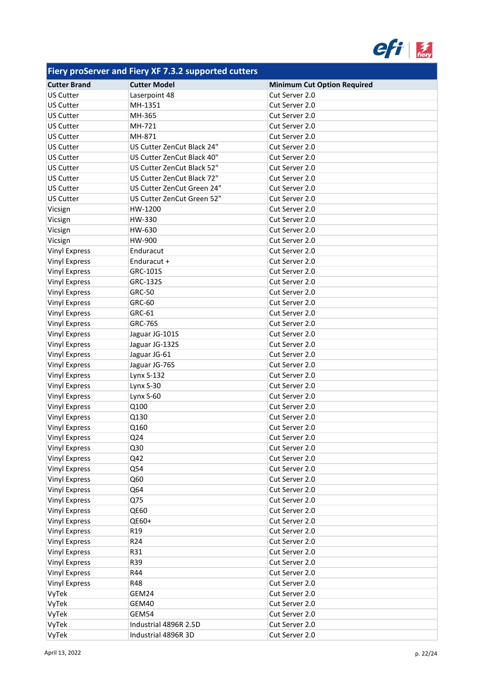

| <b>Cutter Brand</b>  | <b>Cutter Model</b>        | <b>Minimum Cut Option Required</b> |
|----------------------|----------------------------|------------------------------------|
| <b>US Cutter</b>     | Laserpoint 48              | Cut Server 2.0                     |
| <b>US Cutter</b>     | MH-1351                    | Cut Server 2.0                     |
| <b>US Cutter</b>     | MH-365                     | Cut Server 2.0                     |
| <b>US Cutter</b>     | MH-721                     | Cut Server 2.0                     |
| <b>US Cutter</b>     | MH-871                     | Cut Server 2.0                     |
| <b>US Cutter</b>     | US Cutter ZenCut Black 24" | Cut Server 2.0                     |
| <b>US Cutter</b>     | US Cutter ZenCut Black 40" | Cut Server 2.0                     |
| <b>US Cutter</b>     | US Cutter ZenCut Black 52" | Cut Server 2.0                     |
| <b>US Cutter</b>     | US Cutter ZenCut Black 72" | Cut Server 2.0                     |
| <b>US Cutter</b>     | US Cutter ZenCut Green 24" | Cut Server 2.0                     |
| <b>US Cutter</b>     | US Cutter ZenCut Green 52" | Cut Server 2.0                     |
| Vicsign              | HW-1200                    | Cut Server 2.0                     |
| Vicsign              | HW-330                     | Cut Server 2.0                     |
| Vicsign              | HW-630                     | Cut Server 2.0                     |
| Vicsign              | HW-900                     | Cut Server 2.0                     |
| <b>Vinyl Express</b> | Enduracut                  | Cut Server 2.0                     |
| <b>Vinyl Express</b> | Enduracut +                | Cut Server 2.0                     |
| <b>Vinyl Express</b> | GRC-101S                   | Cut Server 2.0                     |
| <b>Vinyl Express</b> | GRC-132S                   | Cut Server 2.0                     |
| <b>Vinyl Express</b> | <b>GRC-50</b>              | Cut Server 2.0                     |
| <b>Vinyl Express</b> | GRC-60                     | Cut Server 2.0                     |
| <b>Vinyl Express</b> | GRC-61                     | Cut Server 2.0                     |
| <b>Vinyl Express</b> | <b>GRC-76S</b>             | Cut Server 2.0                     |
| <b>Vinyl Express</b> | Jaguar JG-101S             | Cut Server 2.0                     |
| <b>Vinyl Express</b> | Jaguar JG-132S             | Cut Server 2.0                     |
| <b>Vinyl Express</b> | Jaguar JG-61               | Cut Server 2.0                     |
| <b>Vinyl Express</b> | Jaguar JG-76S              | Cut Server 2.0                     |
| <b>Vinyl Express</b> | <b>Lynx S-132</b>          | Cut Server 2.0                     |
| <b>Vinyl Express</b> | Lynx S-30                  | Cut Server 2.0                     |
| <b>Vinyl Express</b> | Lynx S-60                  | Cut Server 2.0                     |
| <b>Vinyl Express</b> | Q100                       | Cut Server 2.0                     |
| <b>Vinyl Express</b> | Q130                       | Cut Server 2.0                     |
| <b>Vinyl Express</b> | Q160                       | Cut Server 2.0                     |
| Vinyl Express        | Q24                        | Cut Server 2.0                     |
| <b>Vinyl Express</b> | Q30                        | Cut Server 2.0                     |
| <b>Vinyl Express</b> | Q42                        | Cut Server 2.0                     |
| <b>Vinyl Express</b> | Q54                        | Cut Server 2.0                     |
| <b>Vinyl Express</b> | Q60                        | Cut Server 2.0                     |
| <b>Vinyl Express</b> | Q64                        | Cut Server 2.0                     |
| <b>Vinyl Express</b> | Q75                        | Cut Server 2.0                     |
| <b>Vinyl Express</b> | <b>QE60</b>                | Cut Server 2.0                     |
| <b>Vinyl Express</b> | QE60+                      | Cut Server 2.0                     |
| <b>Vinyl Express</b> | R <sub>19</sub>            | Cut Server 2.0                     |
| <b>Vinyl Express</b> | R24                        | Cut Server 2.0                     |
| <b>Vinyl Express</b> | R31                        | Cut Server 2.0                     |
| <b>Vinyl Express</b> | R39                        | Cut Server 2.0                     |
| <b>Vinyl Express</b> | R44                        | Cut Server 2.0                     |
| <b>Vinyl Express</b> | R48                        | Cut Server 2.0                     |
| VyTek                | GEM24                      | Cut Server 2.0                     |
| VyTek                | GEM40                      | Cut Server 2.0                     |
| VyTek                | GEM54                      | Cut Server 2.0                     |
| VyTek                | Industrial 4896R 2.5D      | Cut Server 2.0                     |
| VyTek                | Industrial 4896R 3D        | Cut Server 2.0                     |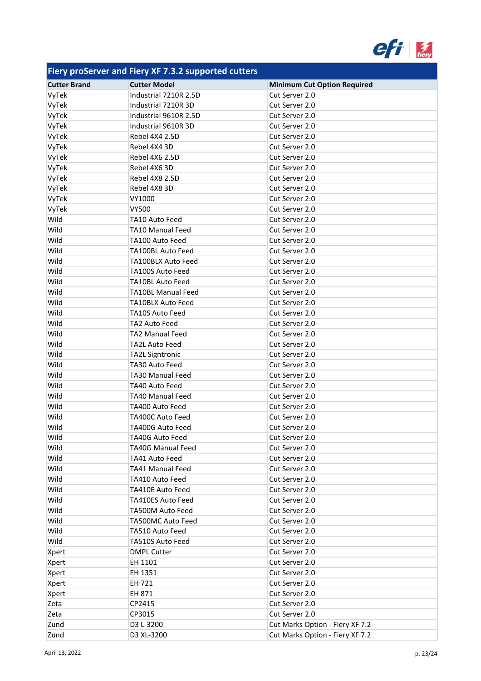

| <b>Cutter Brand</b> | <b>Cutter Model</b>       | <b>Minimum Cut Option Required</b> |
|---------------------|---------------------------|------------------------------------|
| VyTek               | Industrial 7210R 2.5D     | Cut Server 2.0                     |
| VyTek               | Industrial 7210R 3D       | Cut Server 2.0                     |
| VyTek               | Industrial 9610R 2.5D     | Cut Server 2.0                     |
| VyTek               | Industrial 9610R 3D       | Cut Server 2.0                     |
| VyTek               | Rebel 4X4 2.5D            | Cut Server 2.0                     |
| VyTek               | Rebel 4X4 3D              | Cut Server 2.0                     |
| VyTek               | Rebel 4X6 2.5D            | Cut Server 2.0                     |
| VyTek               | Rebel 4X6 3D              | Cut Server 2.0                     |
| VyTek               | Rebel 4X8 2.5D            | Cut Server 2.0                     |
| VyTek               | Rebel 4X8 3D              | Cut Server 2.0                     |
| VyTek               | VY1000                    | Cut Server 2.0                     |
| VyTek               | VY500                     | Cut Server 2.0                     |
| Wild                | TA10 Auto Feed            | Cut Server 2.0                     |
| Wild                | TA10 Manual Feed          | Cut Server 2.0                     |
| Wild                | TA100 Auto Feed           | Cut Server 2.0                     |
| Wild                | TA100BL Auto Feed         | Cut Server 2.0                     |
| Wild                | TA100BLX Auto Feed        | Cut Server 2.0                     |
| Wild                | TA100S Auto Feed          | Cut Server 2.0                     |
| Wild                | <b>TA10BL Auto Feed</b>   | Cut Server 2.0                     |
| Wild                | <b>TA10BL Manual Feed</b> | Cut Server 2.0                     |
| Wild                | <b>TA10BLX Auto Feed</b>  | Cut Server 2.0                     |
| Wild                | TA10S Auto Feed           | Cut Server 2.0                     |
| Wild                | TA2 Auto Feed             | Cut Server 2.0                     |
| Wild                | TA2 Manual Feed           | Cut Server 2.0                     |
| Wild                | <b>TA2L Auto Feed</b>     | Cut Server 2.0                     |
| Wild                | <b>TA2L Signtronic</b>    | Cut Server 2.0                     |
| Wild                | TA30 Auto Feed            | Cut Server 2.0                     |
| Wild                | <b>TA30 Manual Feed</b>   | Cut Server 2.0                     |
| Wild                | TA40 Auto Feed            | Cut Server 2.0                     |
| Wild                | <b>TA40 Manual Feed</b>   | Cut Server 2.0                     |
| Wild                | TA400 Auto Feed           | Cut Server 2.0                     |
| Wild                | TA400C Auto Feed          | Cut Server 2.0                     |
| Wild                | TA400G Auto Feed          | Cut Server 2.0                     |
| Wild                | <b>TA40G Auto Feed</b>    | Cut Server 2.0                     |
| Wild                | <b>TA40G Manual Feed</b>  | Cut Server 2.0                     |
| Wild                | TA41 Auto Feed            | Cut Server 2.0                     |
| Wild                | TA41 Manual Feed          | Cut Server 2.0                     |
| Wild                | TA410 Auto Feed           | Cut Server 2.0                     |
| Wild                | TA410E Auto Feed          | Cut Server 2.0                     |
| Wild                | TA410ES Auto Feed         | Cut Server 2.0                     |
| Wild                | TA500M Auto Feed          | Cut Server 2.0                     |
| Wild                | TA500MC Auto Feed         | Cut Server 2.0                     |
| Wild                | TA510 Auto Feed           | Cut Server 2.0                     |
| Wild                | TA510S Auto Feed          | Cut Server 2.0                     |
| Xpert               | <b>DMPL Cutter</b>        | Cut Server 2.0                     |
| Xpert               | EH 1101                   | Cut Server 2.0                     |
| Xpert               | EH 1351                   | Cut Server 2.0                     |
| Xpert               | EH 721                    | Cut Server 2.0                     |
| Xpert               | EH 871                    | Cut Server 2.0                     |
| Zeta                | CP2415                    | Cut Server 2.0                     |
| Zeta                | CP3015                    | Cut Server 2.0                     |
| Zund                | D3 L-3200                 | Cut Marks Option - Fiery XF 7.2    |
| Zund                | D3 XL-3200                | Cut Marks Option - Fiery XF 7.2    |